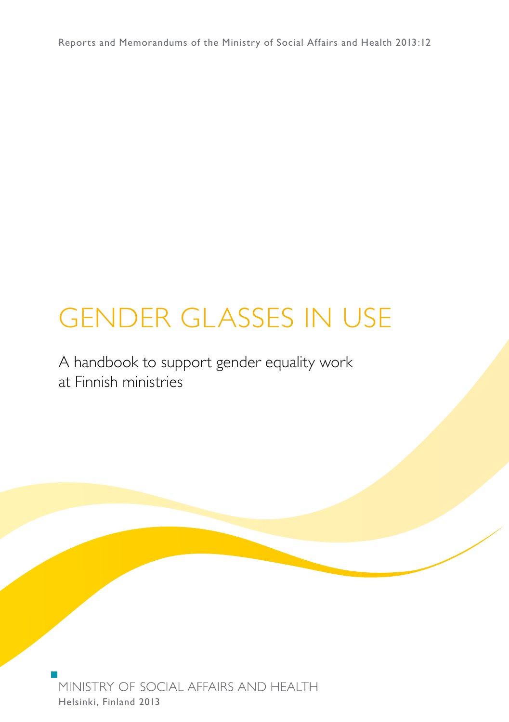Reports and Memorandums of the Ministry of Social Affairs and Health 2013:12

# Gender Glasses in Use

A handbook to support gender equality work at Finnish ministries

MINISTRY OF SOCIAL AFFAIRS AND HEALTH Helsinki, Finland 2013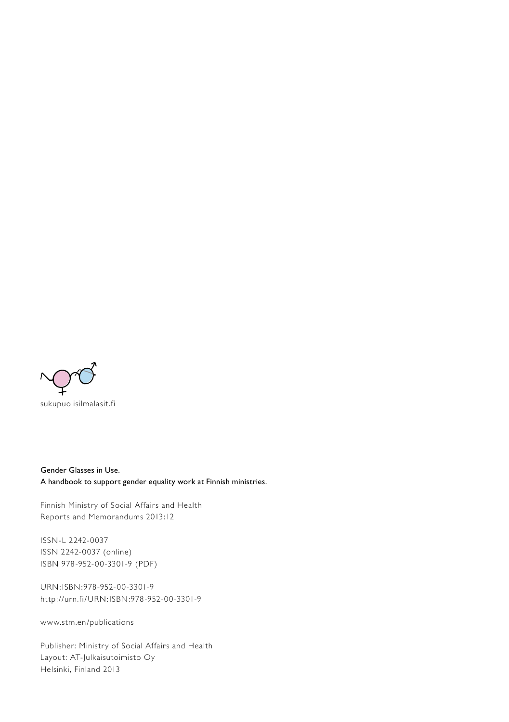

Gender Glasses in Use. A handbook to support gender equality work at Finnish ministries.

Finnish Ministry of Social Affairs and Health Reports and Memorandums 2013:12

ISSN-L 2242-0037 ISSN 2242-0037 (online) ISBN 978-952-00-3301-9 (PDF)

URN:ISBN:978-952-00-3301-9 http://urn.fi/URN:ISBN:978-952-00-3301-9

www.stm.en/publications

Publisher: Ministry of Social Affairs and Health Layout: AT-Julkaisutoimisto Oy Helsinki, Finland 2013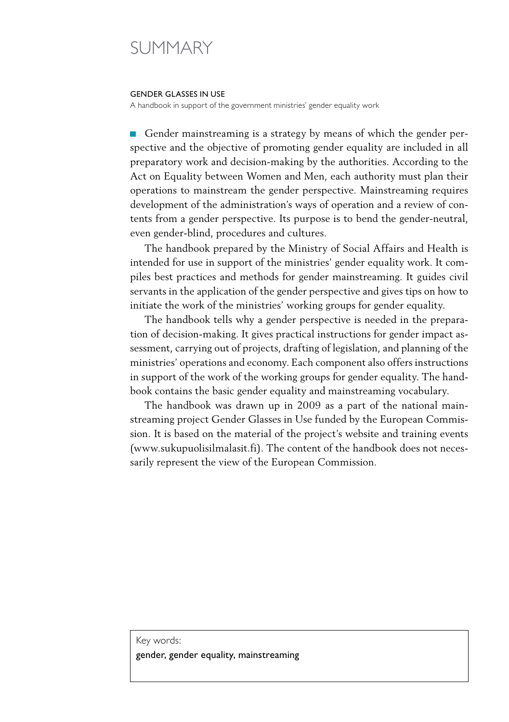# SUMMARY

#### Gender Glasses in use

A handbook in support of the government ministries' gender equality work

Gender mainstreaming is a strategy by means of which the gender per- $\sim$ spective and the objective of promoting gender equality are included in all preparatory work and decision-making by the authorities. According to the Act on Equality between Women and Men, each authority must plan their operations to mainstream the gender perspective. Mainstreaming requires development of the administration's ways of operation and a review of contents from a gender perspective. Its purpose is to bend the gender-neutral, even gender-blind, procedures and cultures.

The handbook prepared by the Ministry of Social Affairs and Health is intended for use in support of the ministries' gender equality work. It compiles best practices and methods for gender mainstreaming. It guides civil servants in the application of the gender perspective and gives tips on how to initiate the work of the ministries' working groups for gender equality.

The handbook tells why a gender perspective is needed in the preparation of decision-making. It gives practical instructions for gender impact assessment, carrying out of projects, drafting of legislation, and planning of the ministries' operations and economy. Each component also offers instructions in support of the work of the working groups for gender equality. The handbook contains the basic gender equality and mainstreaming vocabulary.

The handbook was drawn up in 2009 as a part of the national mainstreaming project Gender Glasses in Use funded by the European Commission. It is based on the material of the project's website and training events (www.sukupuolisilmalasit.fi). The content of the handbook does not necessarily represent the view of the European Commission.

#### Key words: gender, gender equality, mainstreaming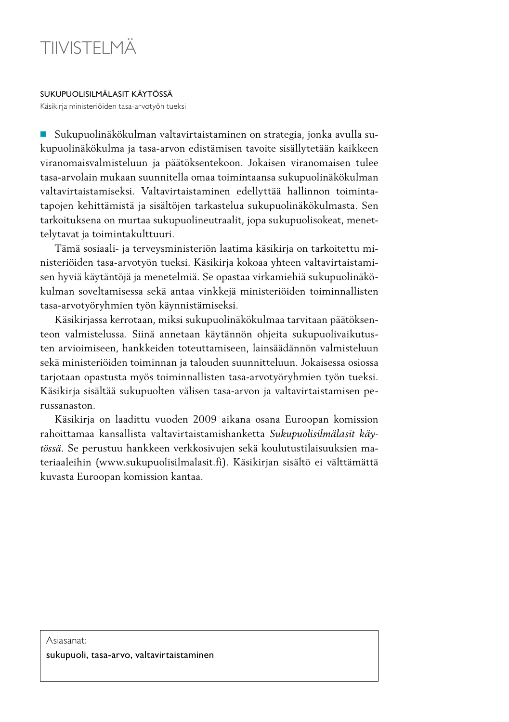

Sukupuolisilmälasit käytössä

Käsikirja ministeriöiden tasa-arvotyön tueksi

Sukupuolinäkökulman valtavirtaistaminen on strategia, jonka avulla sukupuolinäkökulma ja tasa-arvon edistämisen tavoite sisällytetään kaikkeen viranomaisvalmisteluun ja päätöksentekoon. Jokaisen viranomaisen tulee tasa-arvolain mukaan suunnitella omaa toimintaansa sukupuolinäkökulman valtavirtaistamiseksi. Valtavirtaistaminen edellyttää hallinnon toimintatapojen kehittämistä ja sisältöjen tarkastelua sukupuolinäkökulmasta. Sen tarkoituksena on murtaa sukupuolineutraalit, jopa sukupuolisokeat, menettelytavat ja toimintakulttuuri.

Tämä sosiaali- ja terveysministeriön laatima käsikirja on tarkoitettu ministeriöiden tasa-arvotyön tueksi. Käsikirja kokoaa yhteen valtavirtaistamisen hyviä käytäntöjä ja menetelmiä. Se opastaa virkamiehiä sukupuolinäkökulman soveltamisessa sekä antaa vinkkejä ministeriöiden toiminnallisten tasa-arvotyöryhmien työn käynnistämiseksi.

Käsikirjassa kerrotaan, miksi sukupuolinäkökulmaa tarvitaan päätöksenteon valmistelussa. Siinä annetaan käytännön ohjeita sukupuolivaikutusten arvioimiseen, hankkeiden toteuttamiseen, lainsäädännön valmisteluun sekä ministeriöiden toiminnan ja talouden suunnitteluun. Jokaisessa osiossa tarjotaan opastusta myös toiminnallisten tasa-arvotyöryhmien työn tueksi. Käsikirja sisältää sukupuolten välisen tasa-arvon ja valtavirtaistamisen perussanaston.

Käsikirja on laadittu vuoden 2009 aikana osana Euroopan komission rahoittamaa kansallista valtavirtaistamishanketta *Sukupuolisilmälasit käytössä.* Se perustuu hankkeen verkkosivujen sekä koulutustilaisuuksien materiaaleihin (www.sukupuolisilmalasit.fi). Käsikirjan sisältö ei välttämättä kuvasta Euroopan komission kantaa.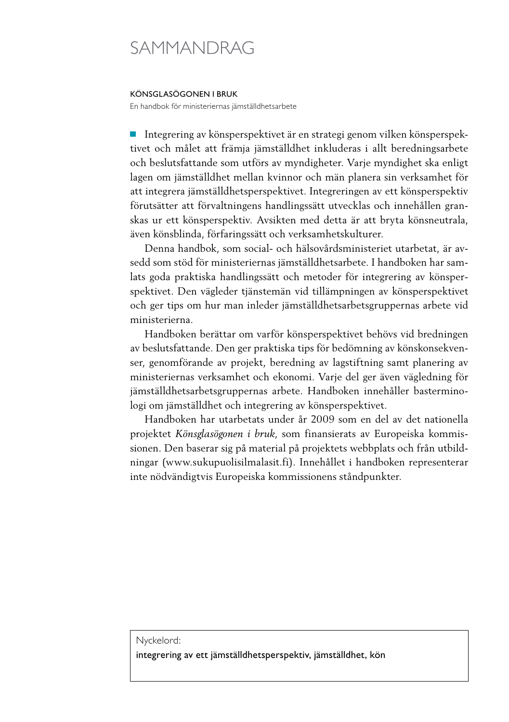# SAMMANDRAG

#### Könsglasögonen i bruk

En handbok för ministeriernas jämställdhetsarbete

Integrering av könsperspektivet är en strategi genom vilken könsperspek-**T** tivet och målet att främja jämställdhet inkluderas i allt beredningsarbete och beslutsfattande som utförs av myndigheter. Varje myndighet ska enligt lagen om jämställdhet mellan kvinnor och män planera sin verksamhet för att integrera jämställdhetsperspektivet. Integreringen av ett könsperspektiv förutsätter att förvaltningens handlingssätt utvecklas och innehållen granskas ur ett könsperspektiv. Avsikten med detta är att bryta könsneutrala, även könsblinda, förfaringssätt och verksamhetskulturer.

Denna handbok, som social- och hälsovårdsministeriet utarbetat, är avsedd som stöd för ministeriernas jämställdhetsarbete. I handboken har samlats goda praktiska handlingssätt och metoder för integrering av könsperspektivet. Den vägleder tjänstemän vid tillämpningen av könsperspektivet och ger tips om hur man inleder jämställdhetsarbetsgruppernas arbete vid ministerierna.

Handboken berättar om varför könsperspektivet behövs vid bredningen av beslutsfattande. Den ger praktiska tips för bedömning av könskonsekvenser, genomförande av projekt, beredning av lagstiftning samt planering av ministeriernas verksamhet och ekonomi. Varje del ger även vägledning för jämställdhetsarbetsgruppernas arbete. Handboken innehåller basterminologi om jämställdhet och integrering av könsperspektivet.

Handboken har utarbetats under år 2009 som en del av det nationella projektet *Könsglasögonen i bruk*, som finansierats av Europeiska kommissionen. Den baserar sig på material på projektets webbplats och från utbildningar (www.sukupuolisilmalasit.fi). Innehållet i handboken representerar inte nödvändigtvis Europeiska kommissionens ståndpunkter.

#### Nyckelord:

integrering av ett jämställdhetsperspektiv, jämställdhet, kön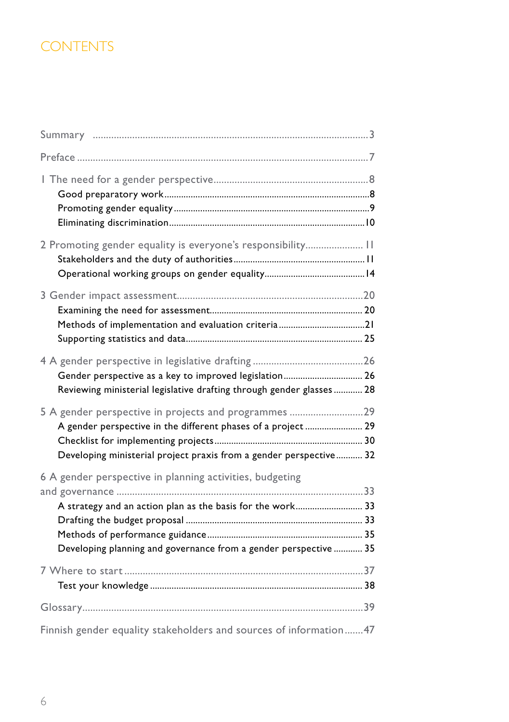## **CONTENTS**

| 2 Promoting gender equality is everyone's responsibility 11                                                                                                                                 |  |
|---------------------------------------------------------------------------------------------------------------------------------------------------------------------------------------------|--|
| Methods of implementation and evaluation criteria21                                                                                                                                         |  |
| Gender perspective as a key to improved legislation 26<br>Reviewing ministerial legislative drafting through gender glasses 28                                                              |  |
| 5 A gender perspective in projects and programmes 29<br>A gender perspective in the different phases of a project  29<br>Developing ministerial project praxis from a gender perspective 32 |  |
| 6 A gender perspective in planning activities, budgeting<br>A strategy and an action plan as the basis for the work 33<br>Developing planning and governance from a gender perspective  35  |  |
|                                                                                                                                                                                             |  |
|                                                                                                                                                                                             |  |
| Finnish gender equality stakeholders and sources of information 47                                                                                                                          |  |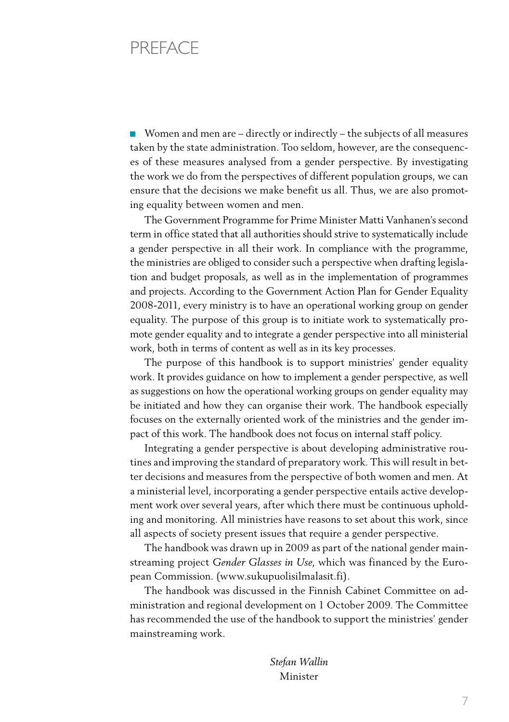# **PRFFACE**

■ Women and men are – directly or indirectly – the subjects of all measures taken by the state administration. Too seldom, however, are the consequences of these measures analysed from a gender perspective. By investigating the work we do from the perspectives of different population groups, we can ensure that the decisions we make benefit us all. Thus, we are also promoting equality between women and men.

The Government Programme for Prime Minister Matti Vanhanen's second term in office stated that all authorities should strive to systematically include a gender perspective in all their work. In compliance with the programme, the ministries are obliged to consider such a perspective when drafting legislation and budget proposals, as well as in the implementation of programmes and projects. According to the Government Action Plan for Gender Equality 2008-2011, every ministry is to have an operational working group on gender equality. The purpose of this group is to initiate work to systematically promote gender equality and to integrate a gender perspective into all ministerial work, both in terms of content as well as in its key processes.

The purpose of this handbook is to support ministries' gender equality work. It provides guidance on how to implement a gender perspective, as well as suggestions on how the operational working groups on gender equality may be initiated and how they can organise their work. The handbook especially focuses on the externally oriented work of the ministries and the gender impact of this work. The handbook does not focus on internal staff policy.

Integrating a gender perspective is about developing administrative routines and improving the standard of preparatory work. This will result in better decisions and measures from the perspective of both women and men. At a ministerial level, incorporating a gender perspective entails active development work over several years, after which there must be continuous upholding and monitoring. All ministries have reasons to set about this work, since all aspects of society present issues that require a gender perspective.

The handbook was drawn up in 2009 as part of the national gender mainstreaming project *Gender Glasses in Use*, which was financed by the European Commission. (www.sukupuolisilmalasit.fi).

The handbook was discussed in the Finnish Cabinet Committee on administration and regional development on 1 October 2009. The Committee has recommended the use of the handbook to support the ministries' gender mainstreaming work.

> *Stefan Wallin* Minister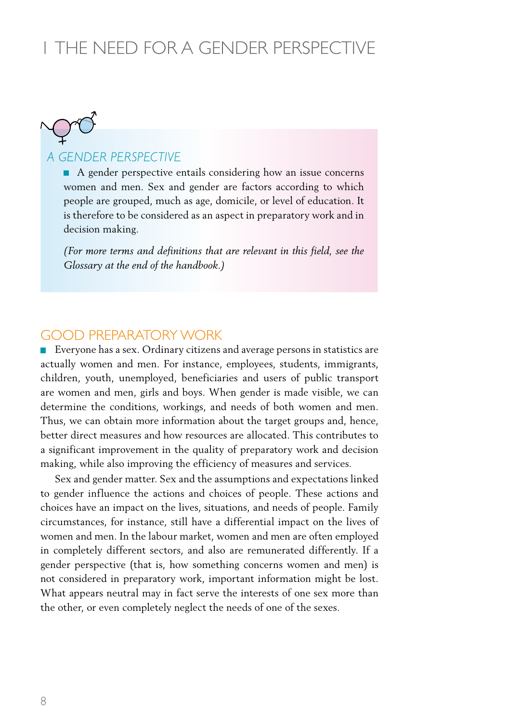# 1 The need for a gender perspective



#### *A GENDER PERSPECTIVE*

A gender perspective entails considering how an issue concerns women and men. Sex and gender are factors according to which people are grouped, much as age, domicile, or level of education. It is therefore to be considered as an aspect in preparatory work and in decision making.

*(For more terms and definitions that are relevant in this field, see the Glossary at the end of the handbook.)*

#### Good preparatory work

Everyone has a sex. Ordinary citizens and average persons in statistics are actually women and men. For instance, employees, students, immigrants, children, youth, unemployed, beneficiaries and users of public transport are women and men, girls and boys. When gender is made visible, we can determine the conditions, workings, and needs of both women and men. Thus, we can obtain more information about the target groups and, hence, better direct measures and how resources are allocated. This contributes to a significant improvement in the quality of preparatory work and decision making, while also improving the efficiency of measures and services.

Sex and gender matter. Sex and the assumptions and expectations linked to gender influence the actions and choices of people. These actions and choices have an impact on the lives, situations, and needs of people. Family circumstances, for instance, still have a differential impact on the lives of women and men. In the labour market, women and men are often employed in completely different sectors, and also are remunerated differently. If a gender perspective (that is, how something concerns women and men) is not considered in preparatory work, important information might be lost. What appears neutral may in fact serve the interests of one sex more than the other, or even completely neglect the needs of one of the sexes.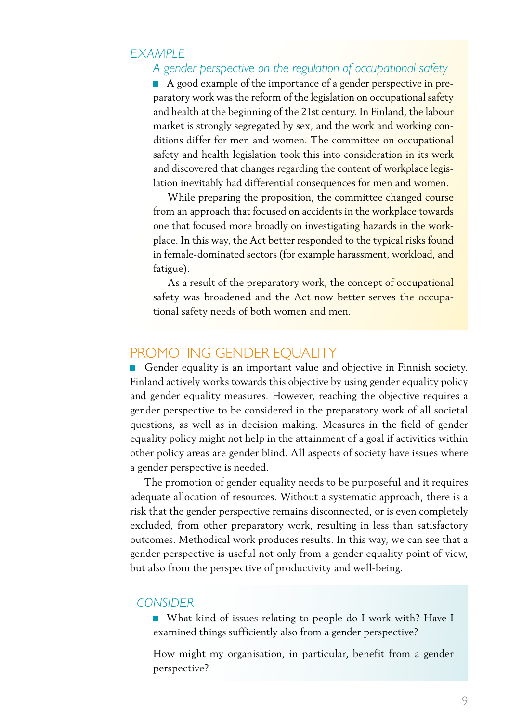#### *EXAMPLE*

#### *A gender perspective on the regulation of occupational safety*

A good example of the importance of a gender perspective in preparatory work was the reform of the legislation on occupational safety and health at the beginning of the 21st century. In Finland, the labour market is strongly segregated by sex, and the work and working conditions differ for men and women. The committee on occupational safety and health legislation took this into consideration in its work and discovered that changes regarding the content of workplace legislation inevitably had differential consequences for men and women.

While preparing the proposition, the committee changed course from an approach that focused on accidents in the workplace towards one that focused more broadly on investigating hazards in the workplace. In this way, the Act better responded to the typical risks found in female-dominated sectors (for example harassment, workload, and fatigue).

As a result of the preparatory work, the concept of occupational safety was broadened and the Act now better serves the occupational safety needs of both women and men.

#### PROMOTING GENDER EQUALITY

Gender equality is an important value and objective in Finnish society. Finland actively works towards this objective by using gender equality policy and gender equality measures. However, reaching the objective requires a gender perspective to be considered in the preparatory work of all societal questions, as well as in decision making. Measures in the field of gender equality policy might not help in the attainment of a goal if activities within other policy areas are gender blind. All aspects of society have issues where a gender perspective is needed.

The promotion of gender equality needs to be purposeful and it requires adequate allocation of resources. Without a systematic approach, there is a risk that the gender perspective remains disconnected, or is even completely excluded, from other preparatory work, resulting in less than satisfactory outcomes. Methodical work produces results. In this way, we can see that a gender perspective is useful not only from a gender equality point of view, but also from the perspective of productivity and well-being.

#### *CONSIDER*

■ What kind of issues relating to people do I work with? Have I examined things sufficiently also from a gender perspective?

How might my organisation, in particular, benefit from a gender perspective?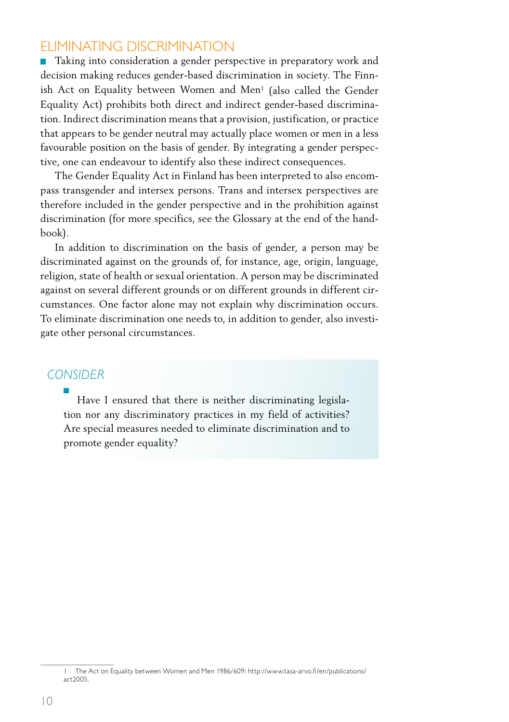#### Eliminating discrimination

**Taking into consideration a gender perspective in preparatory work and** decision making reduces gender-based discrimination in society. The Finnish Act on Equality between Women and Men1 (also called the Gender Equality Act) prohibits both direct and indirect gender-based discrimination. Indirect discrimination means that a provision, justification, or practice that appears to be gender neutral may actually place women or men in a less favourable position on the basis of gender. By integrating a gender perspective, one can endeavour to identify also these indirect consequences.

The Gender Equality Act in Finland has been interpreted to also encompass transgender and intersex persons. Trans and intersex perspectives are therefore included in the gender perspective and in the prohibition against discrimination (for more specifics, see the Glossary at the end of the handbook).

In addition to discrimination on the basis of gender, a person may be discriminated against on the grounds of, for instance, age, origin, language, religion, state of health or sexual orientation. A person may be discriminated against on several different grounds or on different grounds in different circumstances. One factor alone may not explain why discrimination occurs. To eliminate discrimination one needs to, in addition to gender, also investigate other personal circumstances.

#### *CONSIDER*

Have I ensured that there is neither discriminating legislation nor any discriminatory practices in my field of activities? Are special measures needed to eliminate discrimination and to promote gender equality?

<sup>1</sup> The Act on Equality between Women and Men 1986/609: http://www.tasa-arvo.fi/en/publications/ act2005.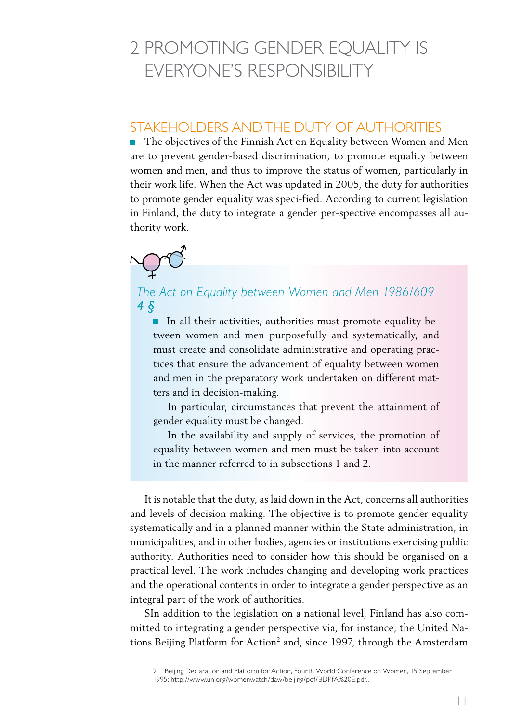# 2 Promoting gender equality is everyone's responsibility

### STAKEHOLDERS AND THE DUTY OF AUTHORITIES

■ The objectives of the Finnish Act on Equality between Women and Men are to prevent gender-based discrimination, to promote equality between women and men, and thus to improve the status of women, particularly in their work life. When the Act was updated in 2005, the duty for authorities to promote gender equality was speci-fied. According to current legislation in Finland, the duty to integrate a gender per-spective encompasses all authority work.



#### *The Act on Equality between Women and Men 1986/609 4 §*

In all their activities, authorities must promote equality between women and men purposefully and systematically, and must create and consolidate administrative and operating practices that ensure the advancement of equality between women and men in the preparatory work undertaken on different matters and in decision-making.

In particular, circumstances that prevent the attainment of gender equality must be changed.

In the availability and supply of services, the promotion of equality between women and men must be taken into account in the manner referred to in subsections 1 and 2.

It is notable that the duty, as laid down in the Act, concerns all authorities and levels of decision making. The objective is to promote gender equality systematically and in a planned manner within the State administration, in municipalities, and in other bodies, agencies or institutions exercising public authority. Authorities need to consider how this should be organised on a practical level. The work includes changing and developing work practices and the operational contents in order to integrate a gender perspective as an integral part of the work of authorities.

SIn addition to the legislation on a national level, Finland has also committed to integrating a gender perspective via, for instance, the United Nations Beijing Platform for Action<sup>2</sup> and, since 1997, through the Amsterdam

<sup>2</sup> Beijing Declaration and Platform for Action, Fourth World Conference on Women, 15 September 1995: http://www.un.org/womenwatch/daw/beijing/pdf/BDPfA%20E.pdf..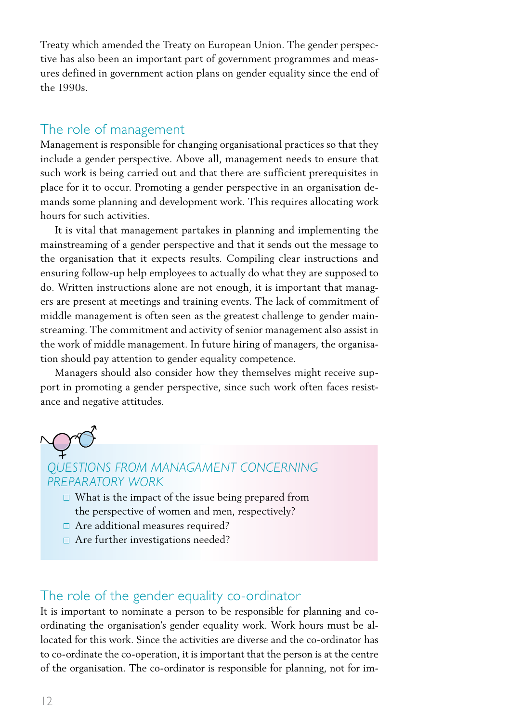Treaty which amended the Treaty on European Union. The gender perspective has also been an important part of government programmes and measures defined in government action plans on gender equality since the end of the 1990s.

#### The role of management

Management is responsible for changing organisational practices so that they include a gender perspective. Above all, management needs to ensure that such work is being carried out and that there are sufficient prerequisites in place for it to occur. Promoting a gender perspective in an organisation demands some planning and development work. This requires allocating work hours for such activities.

It is vital that management partakes in planning and implementing the mainstreaming of a gender perspective and that it sends out the message to the organisation that it expects results. Compiling clear instructions and ensuring follow-up help employees to actually do what they are supposed to do. Written instructions alone are not enough, it is important that managers are present at meetings and training events. The lack of commitment of middle management is often seen as the greatest challenge to gender mainstreaming. The commitment and activity of senior management also assist in the work of middle management. In future hiring of managers, the organisation should pay attention to gender equality competence.

Managers should also consider how they themselves might receive support in promoting a gender perspective, since such work often faces resistance and negative attitudes.

#### *QUESTIONS FROM MANAGAMENT CONCERNING PREPARATORY WORK*

- $\square$  What is the impact of the issue being prepared from the perspective of women and men, respectively?
- □ Are additional measures required?
- □ Are further investigations needed?

#### The role of the gender equality co-ordinator

It is important to nominate a person to be responsible for planning and coordinating the organisation's gender equality work. Work hours must be allocated for this work. Since the activities are diverse and the co-ordinator has to co-ordinate the co-operation, it is important that the person is at the centre of the organisation. The co-ordinator is responsible for planning, not for im-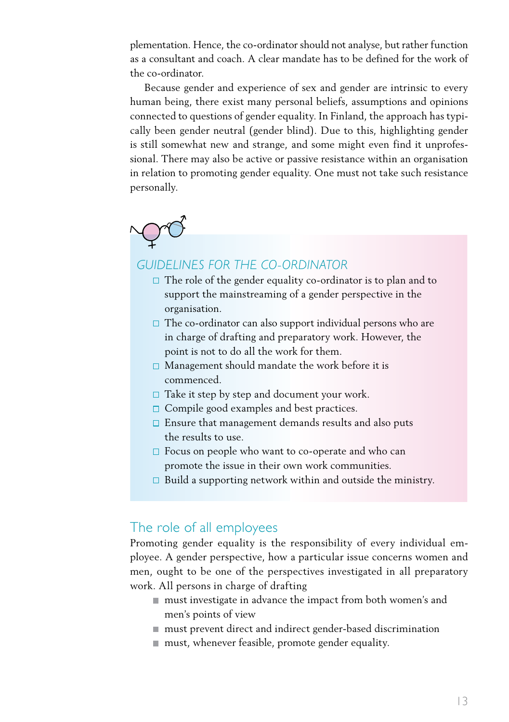plementation. Hence, the co-ordinator should not analyse, but rather function as a consultant and coach. A clear mandate has to be defined for the work of the co-ordinator.

Because gender and experience of sex and gender are intrinsic to every human being, there exist many personal beliefs, assumptions and opinions connected to questions of gender equality. In Finland, the approach has typically been gender neutral (gender blind). Due to this, highlighting gender is still somewhat new and strange, and some might even find it unprofessional. There may also be active or passive resistance within an organisation in relation to promoting gender equality. One must not take such resistance personally.

#### *GUIDELINES FOR THE CO-ORDINATOR*

- $\Box$  The role of the gender equality co-ordinator is to plan and to support the mainstreaming of a gender perspective in the organisation.
- $\square$  The co-ordinator can also support individual persons who are in charge of drafting and preparatory work. However, the point is not to do all the work for them.
- $\square$  Management should mandate the work before it is commenced.
- $\Box$  Take it step by step and document your work.
- $\Box$  Compile good examples and best practices.
- $\square$  Ensure that management demands results and also puts the results to use.
- $\Box$  Focus on people who want to co-operate and who can promote the issue in their own work communities.
- $\square$  Build a supporting network within and outside the ministry.

#### The role of all employees

Promoting gender equality is the responsibility of every individual employee. A gender perspective, how a particular issue concerns women and men, ought to be one of the perspectives investigated in all preparatory work. All persons in charge of drafting

- must investigate in advance the impact from both women's and men's points of view
- must prevent direct and indirect gender-based discrimination
- must, whenever feasible, promote gender equality.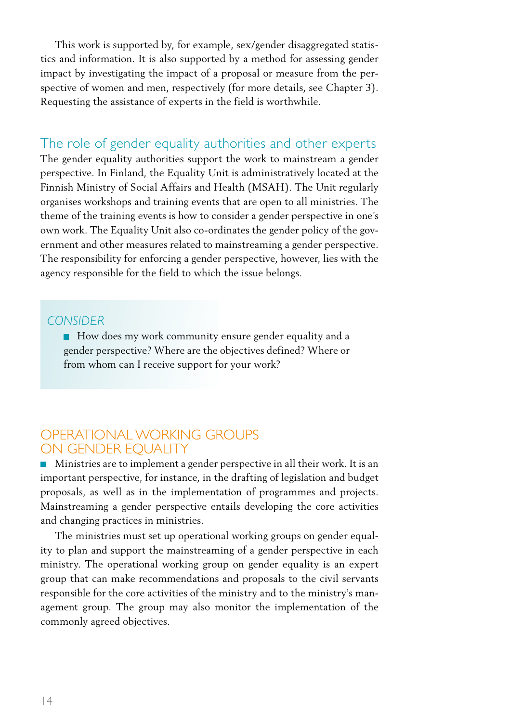This work is supported by, for example, sex/gender disaggregated statistics and information. It is also supported by a method for assessing gender impact by investigating the impact of a proposal or measure from the perspective of women and men, respectively (for more details, see Chapter 3). Requesting the assistance of experts in the field is worthwhile.

The role of gender equality authorities and other experts The gender equality authorities support the work to mainstream a gender perspective. In Finland, the Equality Unit is administratively located at the Finnish Ministry of Social Affairs and Health (MSAH). The Unit regularly organises workshops and training events that are open to all ministries. The theme of the training events is how to consider a gender perspective in one's own work. The Equality Unit also co-ordinates the gender policy of the government and other measures related to mainstreaming a gender perspective. The responsibility for enforcing a gender perspective, however, lies with the agency responsible for the field to which the issue belongs.

#### *CONSIDER*

How does my work community ensure gender equality and a gender perspective? Where are the objectives defined? Where or from whom can I receive support for your work?

#### Operational working groups on gender equality

Ministries are to implement a gender perspective in all their work. It is an important perspective, for instance, in the drafting of legislation and budget proposals, as well as in the implementation of programmes and projects. Mainstreaming a gender perspective entails developing the core activities and changing practices in ministries.

The ministries must set up operational working groups on gender equality to plan and support the mainstreaming of a gender perspective in each ministry. The operational working group on gender equality is an expert group that can make recommendations and proposals to the civil servants responsible for the core activities of the ministry and to the ministry's management group. The group may also monitor the implementation of the commonly agreed objectives.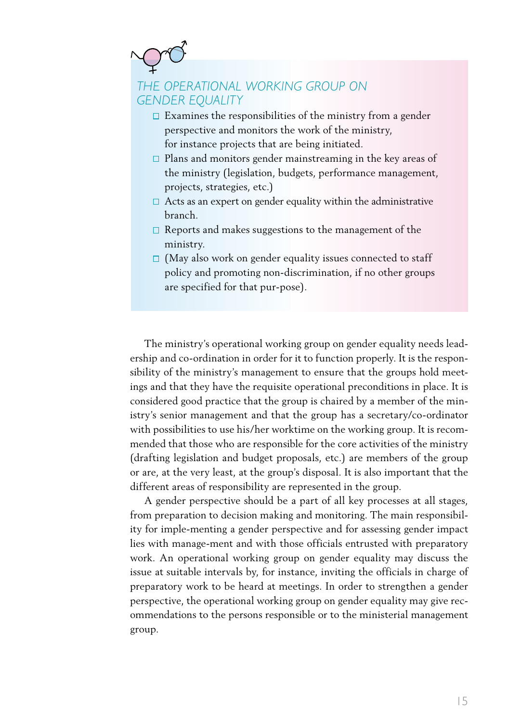# *THE OPERATIONAL WORKING GROUP ON GENDER EQUALITY*

- $\square$  Examines the responsibilities of the ministry from a gender perspective and monitors the work of the ministry, for instance projects that are being initiated.
- $\square$  Plans and monitors gender mainstreaming in the key areas of the ministry (legislation, budgets, performance management, projects, strategies, etc.)
- $\Box$  Acts as an expert on gender equality within the administrative branch.
- $\Box$  Reports and makes suggestions to the management of the ministry.
- $\Box$  (May also work on gender equality issues connected to staff policy and promoting non-discrimination, if no other groups are specified for that pur-pose).

The ministry's operational working group on gender equality needs leadership and co-ordination in order for it to function properly. It is the responsibility of the ministry's management to ensure that the groups hold meetings and that they have the requisite operational preconditions in place. It is considered good practice that the group is chaired by a member of the ministry's senior management and that the group has a secretary/co-ordinator with possibilities to use his/her worktime on the working group. It is recommended that those who are responsible for the core activities of the ministry (drafting legislation and budget proposals, etc.) are members of the group or are, at the very least, at the group's disposal. It is also important that the different areas of responsibility are represented in the group.

A gender perspective should be a part of all key processes at all stages, from preparation to decision making and monitoring. The main responsibility for imple-menting a gender perspective and for assessing gender impact lies with manage-ment and with those officials entrusted with preparatory work. An operational working group on gender equality may discuss the issue at suitable intervals by, for instance, inviting the officials in charge of preparatory work to be heard at meetings. In order to strengthen a gender perspective, the operational working group on gender equality may give recommendations to the persons responsible or to the ministerial management group.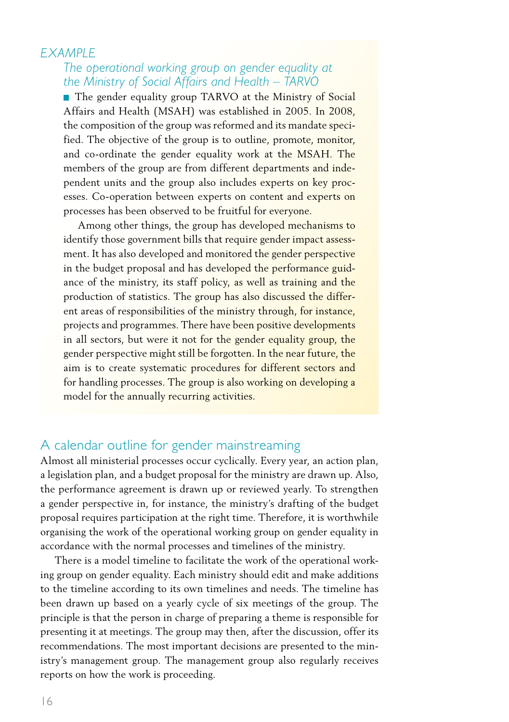#### *EXAMPLE*

#### *The operational working group on gender equality at the Ministry of Social Affairs and Health – TARVO*

■ The gender equality group TARVO at the Ministry of Social Affairs and Health (MSAH) was established in 2005. In 2008, the composition of the group was reformed and its mandate specified. The objective of the group is to outline, promote, monitor, and co-ordinate the gender equality work at the MSAH. The members of the group are from different departments and independent units and the group also includes experts on key processes. Co-operation between experts on content and experts on processes has been observed to be fruitful for everyone.

Among other things, the group has developed mechanisms to identify those government bills that require gender impact assessment. It has also developed and monitored the gender perspective in the budget proposal and has developed the performance guidance of the ministry, its staff policy, as well as training and the production of statistics. The group has also discussed the different areas of responsibilities of the ministry through, for instance, projects and programmes. There have been positive developments in all sectors, but were it not for the gender equality group, the gender perspective might still be forgotten. In the near future, the aim is to create systematic procedures for different sectors and for handling processes. The group is also working on developing a model for the annually recurring activities.

#### A calendar outline for gender mainstreaming

Almost all ministerial processes occur cyclically. Every year, an action plan, a legislation plan, and a budget proposal for the ministry are drawn up. Also, the performance agreement is drawn up or reviewed yearly. To strengthen a gender perspective in, for instance, the ministry's drafting of the budget proposal requires participation at the right time. Therefore, it is worthwhile organising the work of the operational working group on gender equality in accordance with the normal processes and timelines of the ministry.

There is a model timeline to facilitate the work of the operational working group on gender equality. Each ministry should edit and make additions to the timeline according to its own timelines and needs. The timeline has been drawn up based on a yearly cycle of six meetings of the group. The principle is that the person in charge of preparing a theme is responsible for presenting it at meetings. The group may then, after the discussion, offer its recommendations. The most important decisions are presented to the ministry's management group. The management group also regularly receives reports on how the work is proceeding.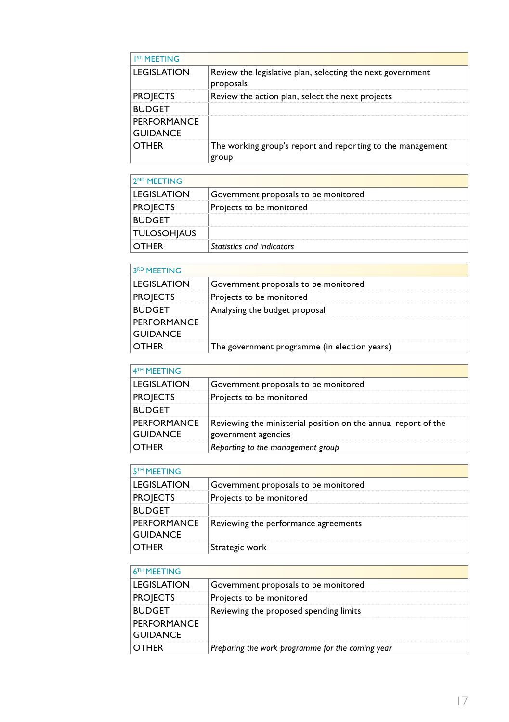| <b>IST MEETING</b>             |                                                                         |
|--------------------------------|-------------------------------------------------------------------------|
| LEGISLATION                    | Review the legislative plan, selecting the next government<br>proposals |
| <b>PROJECTS</b>                | Review the action plan, select the next projects                        |
| <b>BUDGET</b>                  |                                                                         |
| PERFORMANCE<br><b>GUIDANCE</b> |                                                                         |
| OTHER                          | The working group's report and reporting to the management<br>group     |

| 2 <sup>ND</sup> MFFTING |                                      |
|-------------------------|--------------------------------------|
| LEGISLATION             | Government proposals to be monitored |
| <b>PROJECTS</b>         | Projects to be monitored             |
| <b>BUDGFT</b>           |                                      |
| <b>TULOSOHIAUS</b>      |                                      |
| <b>OTHER</b>            | Statistics and indicators            |

| 3 <sup>RD</sup> MEETING        |                                              |
|--------------------------------|----------------------------------------------|
| <b>LEGISLATION</b>             | Government proposals to be monitored         |
| <b>PROJECTS</b>                | Projects to be monitored                     |
| <b>BUDGET</b>                  | Analysing the budget proposal                |
| PERFORMANCE<br><b>GUIDANCE</b> |                                              |
|                                | The government programme (in election years) |

| 4TH MEETING                           |                                                                                       |
|---------------------------------------|---------------------------------------------------------------------------------------|
| <b>LEGISLATION</b>                    | Government proposals to be monitored                                                  |
| <b>PROJECTS</b>                       | Projects to be monitored                                                              |
| <b>BUDGET</b>                         |                                                                                       |
| <b>PERFORMANCE</b><br><b>GUIDANCE</b> | Reviewing the ministerial position on the annual report of the<br>government agencies |
| <b>OTHER</b>                          | Reporting to the management group                                                     |

| 5 <sup>TH</sup> MEETING |                                                    |
|-------------------------|----------------------------------------------------|
| <b>LEGISLATION</b>      | Government proposals to be monitored               |
| <b>PROJECTS</b>         | Projects to be monitored                           |
| <b>BUDGET</b>           |                                                    |
| <b>GUIDANCE</b>         | PERFORMANCE   Reviewing the performance agreements |
| OTHER                   | Strategic work                                     |

| 6 <sup>TH</sup> MEETING        |                                                  |
|--------------------------------|--------------------------------------------------|
| LEGISLATION                    | Government proposals to be monitored             |
| <b>PROJECTS</b>                | Projects to be monitored                         |
| <b>BUDGET</b>                  | Reviewing the proposed spending limits           |
| PERFORMANCE<br><b>GUIDANCE</b> |                                                  |
| OTHER                          | Preparing the work programme for the coming year |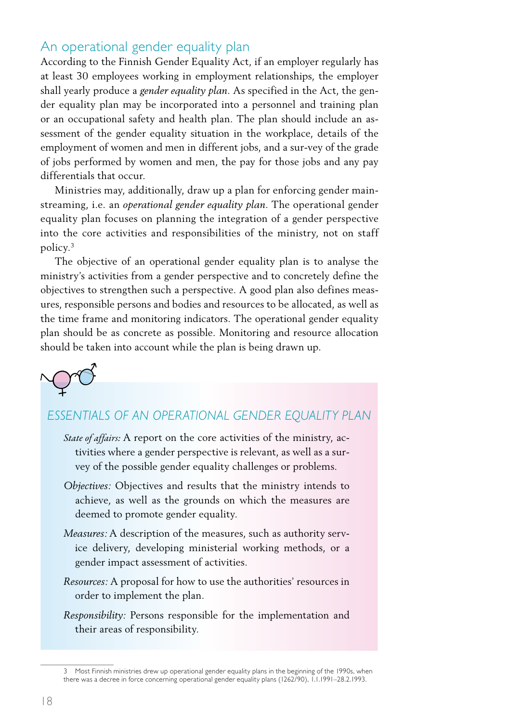#### An operational gender equality plan

According to the Finnish Gender Equality Act, if an employer regularly has at least 30 employees working in employment relationships, the employer shall yearly produce a *gender equality plan*. As specified in the Act, the gender equality plan may be incorporated into a personnel and training plan or an occupational safety and health plan. The plan should include an assessment of the gender equality situation in the workplace, details of the employment of women and men in different jobs, and a sur-vey of the grade of jobs performed by women and men, the pay for those jobs and any pay differentials that occur.

Ministries may, additionally, draw up a plan for enforcing gender mainstreaming, i.e. an *operational gender equality plan*. The operational gender equality plan focuses on planning the integration of a gender perspective into the core activities and responsibilities of the ministry, not on staff policy.3

The objective of an operational gender equality plan is to analyse the ministry's activities from a gender perspective and to concretely define the objectives to strengthen such a perspective. A good plan also defines measures, responsible persons and bodies and resources to be allocated, as well as the time frame and monitoring indicators. The operational gender equality plan should be as concrete as possible. Monitoring and resource allocation should be taken into account while the plan is being drawn up.

### *ESSENTIALS OF AN OPERATIONAL GENDER EQUALITY PLAN*

- *State of affairs:* A report on the core activities of the ministry, activities where a gender perspective is relevant, as well as a survey of the possible gender equality challenges or problems.
- *Objectives:* Objectives and results that the ministry intends to achieve, as well as the grounds on which the measures are deemed to promote gender equality.
- *Measures:* A description of the measures, such as authority service delivery, developing ministerial working methods, or a gender impact assessment of activities.
- *Resources:* A proposal for how to use the authorities' resources in order to implement the plan.
- *Responsibility:* Persons responsible for the implementation and their areas of responsibility.

<sup>3</sup> Most Finnish ministries drew up operational gender equality plans in the beginning of the 1990s, when there was a decree in force concerning operational gender equality plans (1262/90), 1.1.1991–28.2.1993.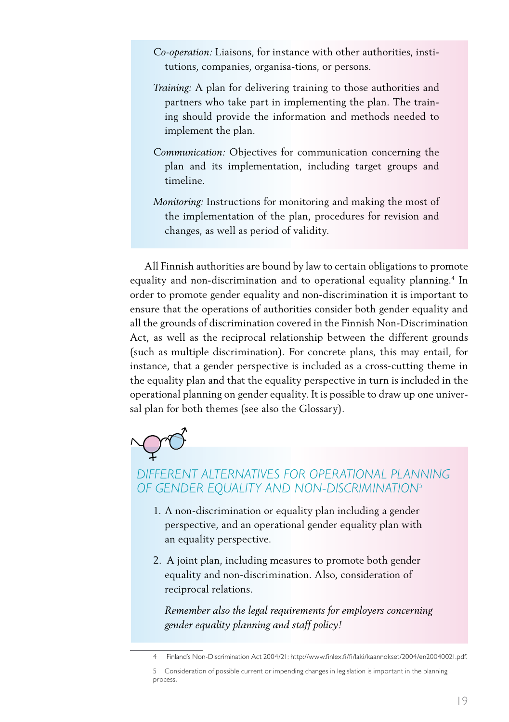- *Co-operation:* Liaisons, for instance with other authorities, institutions, companies, organisa-tions, or persons.
- *Training:* A plan for delivering training to those authorities and partners who take part in implementing the plan. The training should provide the information and methods needed to implement the plan.
- *Communication:* Objectives for communication concerning the plan and its implementation, including target groups and timeline.
- *Monitoring:* Instructions for monitoring and making the most of the implementation of the plan, procedures for revision and changes, as well as period of validity.

All Finnish authorities are bound by law to certain obligations to promote equality and non-discrimination and to operational equality planning.4 In order to promote gender equality and non-discrimination it is important to ensure that the operations of authorities consider both gender equality and all the grounds of discrimination covered in the Finnish Non-Discrimination Act, as well as the reciprocal relationship between the different grounds (such as multiple discrimination). For concrete plans, this may entail, for instance, that a gender perspective is included as a cross-cutting theme in the equality plan and that the equality perspective in turn is included in the operational planning on gender equality. It is possible to draw up one universal plan for both themes (see also the Glossary).



### *DIFFERENT ALTERNATIVES FOR OPERATIONAL PLANNING OF GENDER EQUALITY AND NON-DISCRIMINATION5*

- 1. A non-discrimination or equality plan including a gender perspective, and an operational gender equality plan with an equality perspective.
- 2. A joint plan, including measures to promote both gender equality and non-discrimination. Also, consideration of reciprocal relations.

*Remember also the legal requirements for employers concerning gender equality planning and staff policy!*

<sup>4</sup> Finland's Non-Discrimination Act 2004/21: http://www.finlex.fi/fi/laki/kaannokset/2004/en20040021.pdf.

<sup>5</sup> Consideration of possible current or impending changes in legislation is important in the planning process.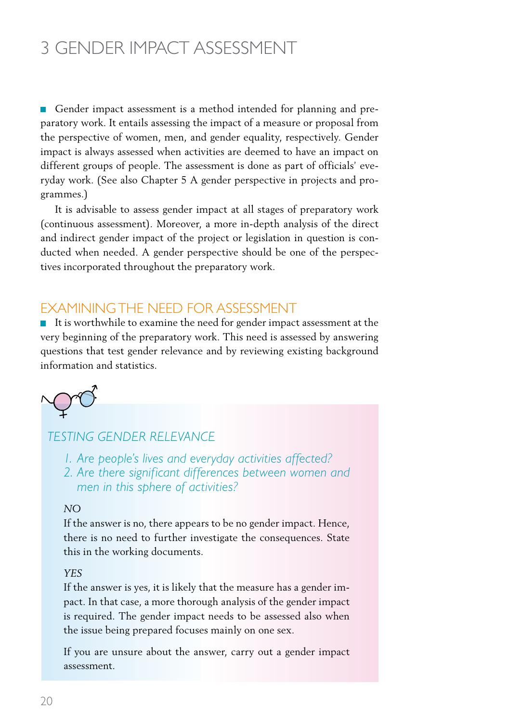# 3 Gender impact assessment

Gender impact assessment is a method intended for planning and preparatory work. It entails assessing the impact of a measure or proposal from the perspective of women, men, and gender equality, respectively. Gender impact is always assessed when activities are deemed to have an impact on different groups of people. The assessment is done as part of officials' everyday work. (See also Chapter 5 A gender perspective in projects and programmes.)

It is advisable to assess gender impact at all stages of preparatory work (continuous assessment). Moreover, a more in-depth analysis of the direct and indirect gender impact of the project or legislation in question is conducted when needed. A gender perspective should be one of the perspectives incorporated throughout the preparatory work.

### Examiningthe need for assessment

It is worthwhile to examine the need for gender impact assessment at the very beginning of the preparatory work. This need is assessed by answering questions that test gender relevance and by reviewing existing background information and statistics.

#### *TESTING GENDER RELEVANCE*

*1. Are people's lives and everyday activities affected?* 

*2. Are there significant differences between women and men in this sphere of activities?* 

#### *NO*

If the answer is no, there appears to be no gender impact. Hence, there is no need to further investigate the consequences. State this in the working documents.

#### *YES*

If the answer is yes, it is likely that the measure has a gender impact. In that case, a more thorough analysis of the gender impact is required. The gender impact needs to be assessed also when the issue being prepared focuses mainly on one sex.

If you are unsure about the answer, carry out a gender impact assessment.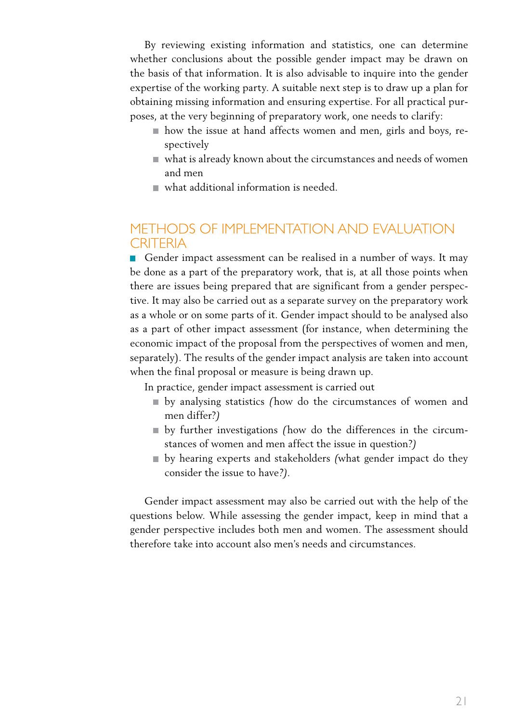By reviewing existing information and statistics, one can determine whether conclusions about the possible gender impact may be drawn on the basis of that information. It is also advisable to inquire into the gender expertise of the working party. A suitable next step is to draw up a plan for obtaining missing information and ensuring expertise. For all practical purposes, at the very beginning of preparatory work, one needs to clarify:

- how the issue at hand affects women and men, girls and boys, respectively
- what is already known about the circumstances and needs of women and men
- what additional information is needed.

### Methods of implementation and evaluation **CRITERIA**

Gender impact assessment can be realised in a number of ways. It may be done as a part of the preparatory work, that is, at all those points when there are issues being prepared that are significant from a gender perspective. It may also be carried out as a separate survey on the preparatory work as a whole or on some parts of it. Gender impact should to be analysed also as a part of other impact assessment (for instance, when determining the economic impact of the proposal from the perspectives of women and men, separately). The results of the gender impact analysis are taken into account when the final proposal or measure is being drawn up.

In practice, gender impact assessment is carried out

- by analysing statistics *(*how do the circumstances of women and men differ?*)*
- by further investigations *(*how do the differences in the circumstances of women and men affect the issue in question?*)*
- by hearing experts and stakeholders *(*what gender impact do they consider the issue to have*?).*

Gender impact assessment may also be carried out with the help of the questions below. While assessing the gender impact, keep in mind that a gender perspective includes both men and women. The assessment should therefore take into account also men's needs and circumstances.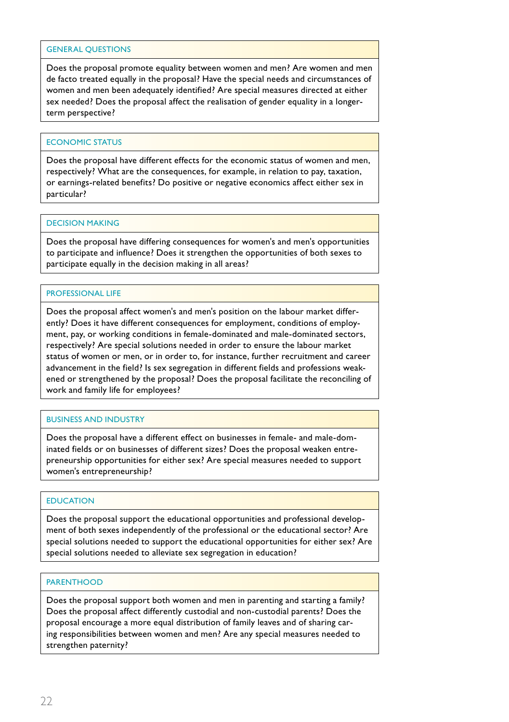Does the proposal promote equality between women and men? Are women and men de facto treated equally in the proposal? Have the special needs and circumstances of women and men been adequately identified? Are special measures directed at either sex needed? Does the proposal affect the realisation of gender equality in a longerterm perspective?

#### ECONOMIC STATUS

Does the proposal have different effects for the economic status of women and men, respectively? What are the consequences, for example, in relation to pay, taxation, or earnings-related benefits? Do positive or negative economics affect either sex in particular?

#### Decision making

Does the proposal have differing consequences for women's and men's opportunities to participate and influence? Does it strengthen the opportunities of both sexes to participate equally in the decision making in all areas?

#### Professional life

Does the proposal affect women's and men's position on the labour market differently? Does it have different consequences for employment, conditions of employment, pay, or working conditions in female-dominated and male-dominated sectors, respectively? Are special solutions needed in order to ensure the labour market status of women or men, or in order to, for instance, further recruitment and career advancement in the field? Is sex segregation in different fields and professions weakened or strengthened by the proposal? Does the proposal facilitate the reconciling of work and family life for employees?

#### Business and industry

Does the proposal have a different effect on businesses in female- and male-dominated fields or on businesses of different sizes? Does the proposal weaken entrepreneurship opportunities for either sex? Are special measures needed to support women's entrepreneurship?

#### **EDUCATION**

Does the proposal support the educational opportunities and professional development of both sexes independently of the professional or the educational sector? Are special solutions needed to support the educational opportunities for either sex? Are special solutions needed to alleviate sex segregation in education?

#### **PARENTHOOD**

Does the proposal support both women and men in parenting and starting a family? Does the proposal affect differently custodial and non-custodial parents? Does the proposal encourage a more equal distribution of family leaves and of sharing caring responsibilities between women and men? Are any special measures needed to strengthen paternity?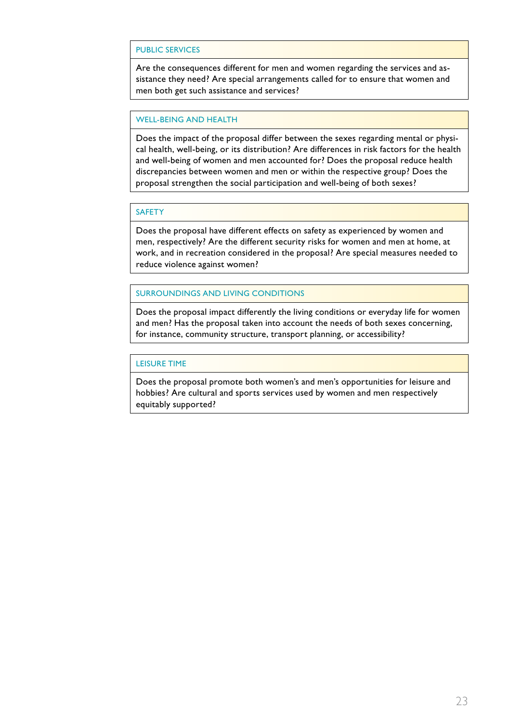#### Public services

Are the consequences different for men and women regarding the services and assistance they need? Are special arrangements called for to ensure that women and men both get such assistance and services?

#### Well-being and health

Does the impact of the proposal differ between the sexes regarding mental or physical health, well-being, or its distribution? Are differences in risk factors for the health and well-being of women and men accounted for? Does the proposal reduce health discrepancies between women and men or within the respective group? Does the proposal strengthen the social participation and well-being of both sexes?

#### **SAFETY**

Does the proposal have different effects on safety as experienced by women and men, respectively? Are the different security risks for women and men at home, at work, and in recreation considered in the proposal? Are special measures needed to reduce violence against women?

#### Surroundings and living conditions

Does the proposal impact differently the living conditions or everyday life for women and men? Has the proposal taken into account the needs of both sexes concerning, for instance, community structure, transport planning, or accessibility?

#### Leisure time

Does the proposal promote both women's and men's opportunities for leisure and hobbies? Are cultural and sports services used by women and men respectively equitably supported?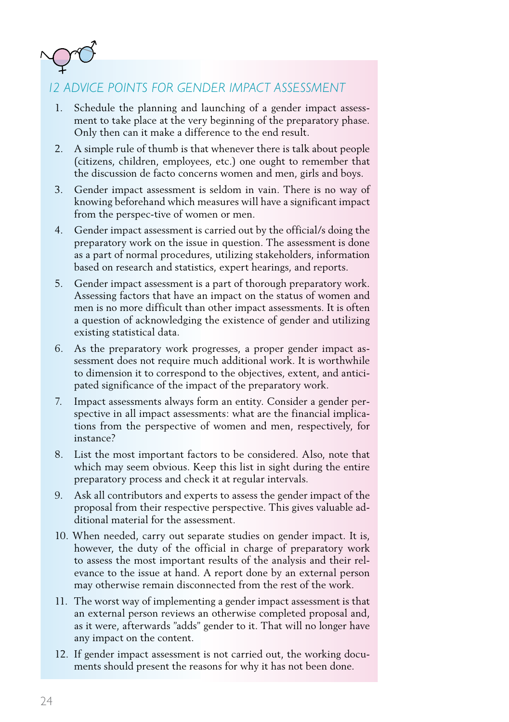

### *12 ADVICE POINTS FOR GENDER IMPACT ASSESSMENT*

- 1. Schedule the planning and launching of a gender impact assessment to take place at the very beginning of the preparatory phase. Only then can it make a difference to the end result.
- 2. A simple rule of thumb is that whenever there is talk about people (citizens, children, employees, etc.) one ought to remember that the discussion de facto concerns women and men, girls and boys.
- 3. Gender impact assessment is seldom in vain. There is no way of knowing beforehand which measures will have a significant impact from the perspec-tive of women or men.
- 4. Gender impact assessment is carried out by the official/s doing the preparatory work on the issue in question. The assessment is done as a part of normal procedures, utilizing stakeholders, information based on research and statistics, expert hearings, and reports.
- 5. Gender impact assessment is a part of thorough preparatory work. Assessing factors that have an impact on the status of women and men is no more difficult than other impact assessments. It is often a question of acknowledging the existence of gender and utilizing existing statistical data.
- 6. As the preparatory work progresses, a proper gender impact assessment does not require much additional work. It is worthwhile to dimension it to correspond to the objectives, extent, and anticipated significance of the impact of the preparatory work.
- 7. Impact assessments always form an entity. Consider a gender perspective in all impact assessments: what are the financial implications from the perspective of women and men, respectively, for instance?
- 8. List the most important factors to be considered. Also, note that which may seem obvious. Keep this list in sight during the entire preparatory process and check it at regular intervals.
- 9. Ask all contributors and experts to assess the gender impact of the proposal from their respective perspective. This gives valuable additional material for the assessment.
- 10. When needed, carry out separate studies on gender impact. It is, however, the duty of the official in charge of preparatory work to assess the most important results of the analysis and their relevance to the issue at hand. A report done by an external person may otherwise remain disconnected from the rest of the work.
- 11. The worst way of implementing a gender impact assessment is that an external person reviews an otherwise completed proposal and, as it were, afterwards "adds" gender to it. That will no longer have any impact on the content.
- 12. If gender impact assessment is not carried out, the working documents should present the reasons for why it has not been done.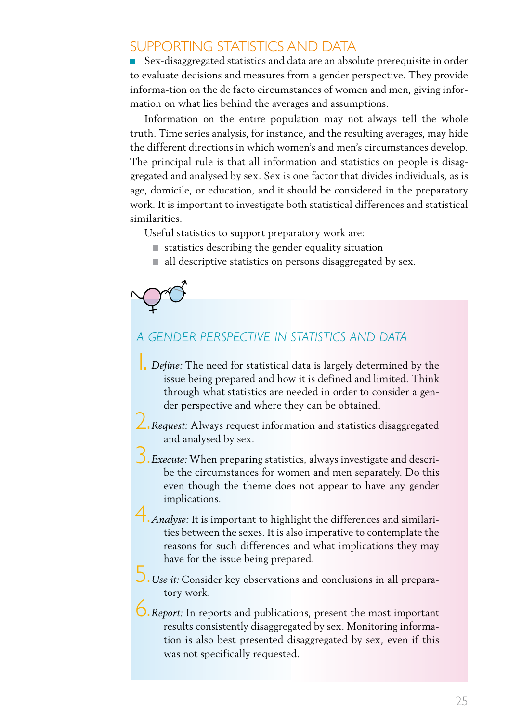### Supporting statistics and data

Sex-disaggregated statistics and data are an absolute prerequisite in order to evaluate decisions and measures from a gender perspective. They provide informa-tion on the de facto circumstances of women and men, giving information on what lies behind the averages and assumptions.

Information on the entire population may not always tell the whole truth. Time series analysis, for instance, and the resulting averages, may hide the different directions in which women's and men's circumstances develop. The principal rule is that all information and statistics on people is disaggregated and analysed by sex. Sex is one factor that divides individuals, as is age, domicile, or education, and it should be considered in the preparatory work. It is important to investigate both statistical differences and statistical similarities.

Useful statistics to support preparatory work are:

- $\blacksquare$  statistics describing the gender equality situation
- $\blacksquare$  all descriptive statistics on persons disaggregated by sex.

#### *A GENDER PERSPECTIVE IN STATISTICS AND DATA*

- **1.** Define: The need for statistical data is largely determined by the issue being prepared and how it is defined and limited. Think through what statistics are needed in order to consider a gender perspective and where they can be obtained.
- *Request:* Always request information and statistics disaggregated 2. and analysed by sex.

*Execute:* When preparing statistics, always investigate and descri-3. be the circumstances for women and men separately. Do this even though the theme does not appear to have any gender implications.

*Analyse:* It is important to highlight the differences and similari-4. ties between the sexes. It is also imperative to contemplate the reasons for such differences and what implications they may have for the issue being prepared.

*Use it:* Consider key observations and conclusions in all prepara-5. tory work.

*Report:* In reports and publications, present the most important 6.results consistently disaggregated by sex. Monitoring information is also best presented disaggregated by sex, even if this was not specifically requested.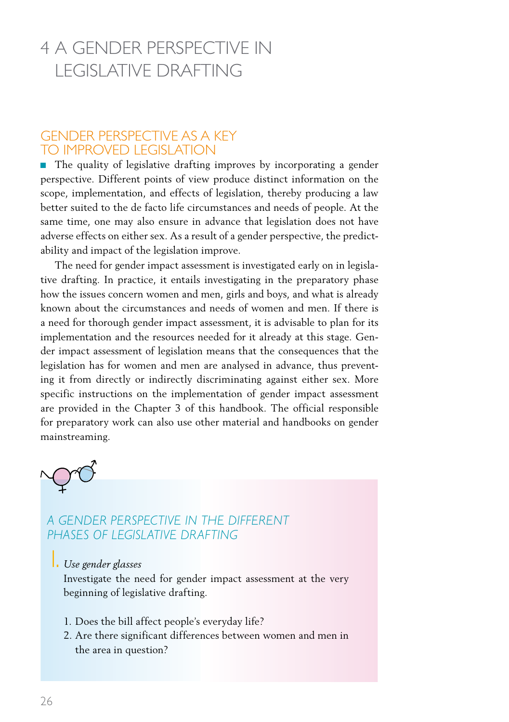# 4 A gender perspective in legislative drafting

#### Gender perspective as a key to improved legislation

The quality of legislative drafting improves by incorporating a gender perspective. Different points of view produce distinct information on the scope, implementation, and effects of legislation, thereby producing a law better suited to the de facto life circumstances and needs of people. At the same time, one may also ensure in advance that legislation does not have adverse effects on either sex. As a result of a gender perspective, the predictability and impact of the legislation improve.

The need for gender impact assessment is investigated early on in legislative drafting. In practice, it entails investigating in the preparatory phase how the issues concern women and men, girls and boys, and what is already known about the circumstances and needs of women and men. If there is a need for thorough gender impact assessment, it is advisable to plan for its implementation and the resources needed for it already at this stage. Gender impact assessment of legislation means that the consequences that the legislation has for women and men are analysed in advance, thus preventing it from directly or indirectly discriminating against either sex. More specific instructions on the implementation of gender impact assessment are provided in the Chapter 3 of this handbook. The official responsible for preparatory work can also use other material and handbooks on gender mainstreaming.



#### *A GENDER PERSPECTIVE IN THE DIFFERENT PHASES OF LEGISLATIVE DRAFTING*

1. *Use gender glasses*

Investigate the need for gender impact assessment at the very beginning of legislative drafting.

- 1. Does the bill affect people's everyday life?
- 2. Are there significant differences between women and men in the area in question?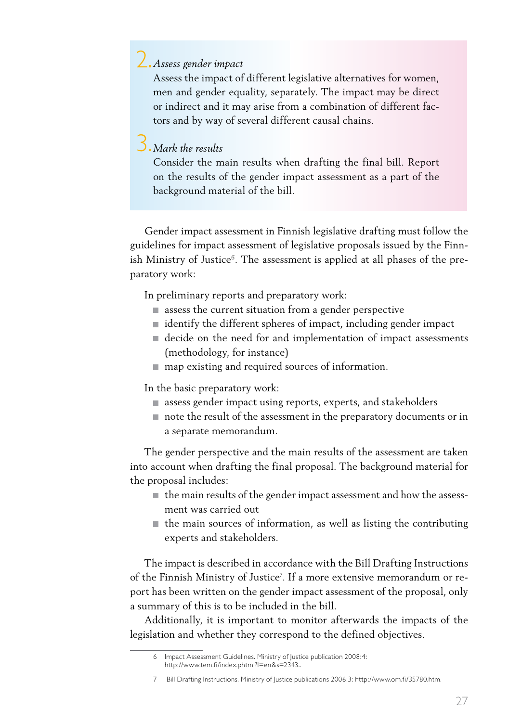# *Assess gender impact* 2.

Assess the impact of different legislative alternatives for women, men and gender equality, separately. The impact may be direct or indirect and it may arise from a combination of different factors and by way of several different causal chains.

# *Mark the results* 3.

Consider the main results when drafting the final bill. Report on the results of the gender impact assessment as a part of the background material of the bill.

Gender impact assessment in Finnish legislative drafting must follow the guidelines for impact assessment of legislative proposals issued by the Finnish Ministry of Justice<sup>6</sup>. The assessment is applied at all phases of the preparatory work:

In preliminary reports and preparatory work:

- **E** assess the current situation from a gender perspective
- $\blacksquare$  identify the different spheres of impact, including gender impact
- decide on the need for and implementation of impact assessments (methodology, for instance)
- $\blacksquare$  map existing and required sources of information.

In the basic preparatory work:

- assess gender impact using reports, experts, and stakeholders
- note the result of the assessment in the preparatory documents or in a separate memorandum.

The gender perspective and the main results of the assessment are taken into account when drafting the final proposal. The background material for the proposal includes:

- $\blacksquare$  the main results of the gender impact assessment and how the assessment was carried out
- $\blacksquare$  the main sources of information, as well as listing the contributing experts and stakeholders.

The impact is described in accordance with the Bill Drafting Instructions of the Finnish Ministry of Justice<sup>7</sup>. If a more extensive memorandum or report has been written on the gender impact assessment of the proposal, only a summary of this is to be included in the bill.

Additionally, it is important to monitor afterwards the impacts of the legislation and whether they correspond to the defined objectives.

<sup>6</sup> Impact Assessment Guidelines. Ministry of Justice publication 2008:4: http://www.tem.fi/index.phtml?l=en&s=2343..

<sup>7</sup> Bill Drafting Instructions. Ministry of Justice publications 2006:3: http://www.om.fi/35780.htm.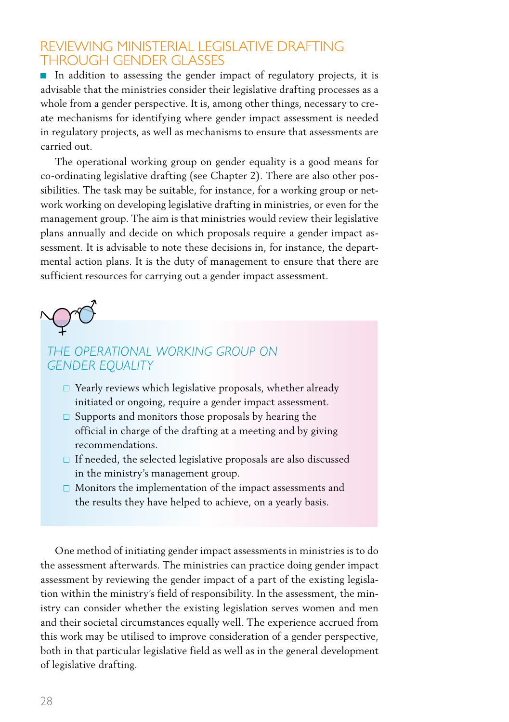#### REVIEWING MINISTERIAL LEGISLATIVE DRAFTING through gender glasses

In addition to assessing the gender impact of regulatory projects, it is advisable that the ministries consider their legislative drafting processes as a whole from a gender perspective. It is, among other things, necessary to create mechanisms for identifying where gender impact assessment is needed in regulatory projects, as well as mechanisms to ensure that assessments are carried out.

The operational working group on gender equality is a good means for co-ordinating legislative drafting (see Chapter 2). There are also other possibilities. The task may be suitable, for instance, for a working group or network working on developing legislative drafting in ministries, or even for the management group. The aim is that ministries would review their legislative plans annually and decide on which proposals require a gender impact assessment. It is advisable to note these decisions in, for instance, the departmental action plans. It is the duty of management to ensure that there are sufficient resources for carrying out a gender impact assessment.



#### *THE OPERATIONAL WORKING GROUP ON GENDER EQUALITY*

- $\Box$  Yearly reviews which legislative proposals, whether already initiated or ongoing, require a gender impact assessment.
- $\square$  Supports and monitors those proposals by hearing the official in charge of the drafting at a meeting and by giving recommendations.
- $\Box$  If needed, the selected legislative proposals are also discussed in the ministry's management group.
- $\square$  Monitors the implementation of the impact assessments and the results they have helped to achieve, on a yearly basis.

One method of initiating gender impact assessments in ministries is to do the assessment afterwards. The ministries can practice doing gender impact assessment by reviewing the gender impact of a part of the existing legislation within the ministry's field of responsibility. In the assessment, the ministry can consider whether the existing legislation serves women and men and their societal circumstances equally well. The experience accrued from this work may be utilised to improve consideration of a gender perspective, both in that particular legislative field as well as in the general development of legislative drafting.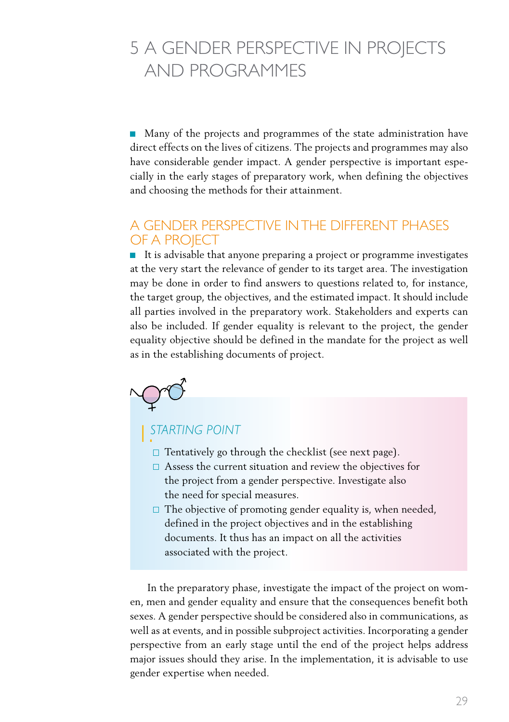# 5 A gender perspective in projects and programmes

Many of the projects and programmes of the state administration have direct effects on the lives of citizens. The projects and programmes may also have considerable gender impact. A gender perspective is important especially in the early stages of preparatory work, when defining the objectives and choosing the methods for their attainment.

#### A gender perspective in the different phases of a project

■ It is advisable that anyone preparing a project or programme investigates at the very start the relevance of gender to its target area. The investigation may be done in order to find answers to questions related to, for instance, the target group, the objectives, and the estimated impact. It should include all parties involved in the preparatory work. Stakeholders and experts can also be included. If gender equality is relevant to the project, the gender equality objective should be defined in the mandate for the project as well as in the establishing documents of project.

# moro

# *Starting point* 1.

- $\Box$  Tentatively go through the checklist (see next page).
- □ Assess the current situation and review the objectives for the project from a gender perspective. Investigate also the need for special measures.
- $\Box$  The objective of promoting gender equality is, when needed, defined in the project objectives and in the establishing documents. It thus has an impact on all the activities associated with the project.

 In the preparatory phase, investigate the impact of the project on women, men and gender equality and ensure that the consequences benefit both sexes. A gender perspective should be considered also in communications, as well as at events, and in possible subproject activities. Incorporating a gender perspective from an early stage until the end of the project helps address major issues should they arise. In the implementation, it is advisable to use gender expertise when needed.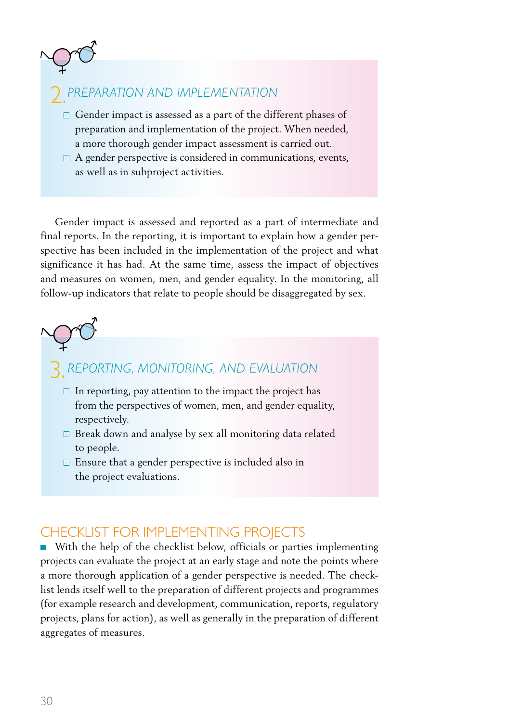

- $\Box$  Gender impact is assessed as a part of the different phases of preparation and implementation of the project. When needed, a more thorough gender impact assessment is carried out.
- $\Box$  A gender perspective is considered in communications, events, as well as in subproject activities.

Gender impact is assessed and reported as a part of intermediate and final reports. In the reporting, it is important to explain how a gender perspective has been included in the implementation of the project and what significance it has had. At the same time, assess the impact of objectives and measures on women, men, and gender equality. In the monitoring, all follow-up indicators that relate to people should be disaggregated by sex.

# **3.** REPORTING, MONITORING, AND E

- $\Box$  In reporting, pay attention to the impact the project has from the perspectives of women, men, and gender equality, respectively.
- $\square$  Break down and analyse by sex all monitoring data related to people.
- $\square$  Ensure that a gender perspective is included also in the project evaluations.

### Checklist for implementing projects

With the help of the checklist below, officials or parties implementing projects can evaluate the project at an early stage and note the points where a more thorough application of a gender perspective is needed. The checklist lends itself well to the preparation of different projects and programmes (for example research and development, communication, reports, regulatory projects, plans for action), as well as generally in the preparation of different aggregates of measures.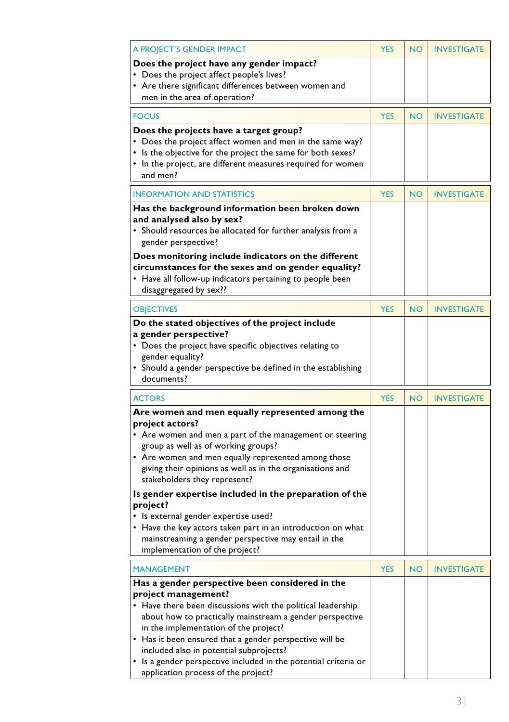| A PROJECT'S GENDER IMPACT                                                                                               | <b>YES</b> | <b>NO</b> | <b>INVESTIGATE</b> |
|-------------------------------------------------------------------------------------------------------------------------|------------|-----------|--------------------|
| Does the project have any gender impact?                                                                                |            |           |                    |
| • Does the project affect people's lives?                                                                               |            |           |                    |
| • Are there significant differences between women and                                                                   |            |           |                    |
| men in the area of operation?                                                                                           |            |           |                    |
| <b>FOCUS</b>                                                                                                            | <b>YES</b> | <b>NO</b> | <b>INVESTIGATE</b> |
|                                                                                                                         |            |           |                    |
| Does the projects have a target group?<br>• Does the project affect women and men in the same way?                      |            |           |                    |
| • Is the objective for the project the same for both sexes?                                                             |            |           |                    |
| • In the project, are different measures required for women                                                             |            |           |                    |
| and men?                                                                                                                |            |           |                    |
|                                                                                                                         |            |           |                    |
| <b>INFORMATION AND STATISTICS</b>                                                                                       | <b>YES</b> | <b>NO</b> | <b>INVESTIGATE</b> |
| Has the background information been broken down                                                                         |            |           |                    |
| and analysed also by sex?                                                                                               |            |           |                    |
| • Should resources be allocated for further analysis from a                                                             |            |           |                    |
| gender perspective?                                                                                                     |            |           |                    |
| Does monitoring include indicators on the different                                                                     |            |           |                    |
| circumstances for the sexes and on gender equality?                                                                     |            |           |                    |
| • Have all follow-up indicators pertaining to people been                                                               |            |           |                    |
| disaggregated by sex??                                                                                                  |            |           |                    |
| <b>OBJECTIVES</b>                                                                                                       | <b>YES</b> | <b>NO</b> | <b>INVESTIGATE</b> |
| Do the stated objectives of the project include                                                                         |            |           |                    |
| a gender perspective?                                                                                                   |            |           |                    |
| • Does the project have specific objectives relating to                                                                 |            |           |                    |
| gender equality?                                                                                                        |            |           |                    |
|                                                                                                                         |            |           |                    |
| • Should a gender perspective be defined in the establishing                                                            |            |           |                    |
| documents?                                                                                                              |            |           |                    |
| <b>ACTORS</b>                                                                                                           | <b>YES</b> | <b>NO</b> | <b>INVESTIGATE</b> |
|                                                                                                                         |            |           |                    |
| Are women and men equally represented among the                                                                         |            |           |                    |
| project actors?                                                                                                         |            |           |                    |
| • Are women and men a part of the management or steering                                                                |            |           |                    |
| group as well as of working groups?                                                                                     |            |           |                    |
| • Are women and men equally represented among those                                                                     |            |           |                    |
| giving their opinions as well as in the organisations and<br>stakeholders they represent?                               |            |           |                    |
| Is gender expertise included in the preparation of the                                                                  |            |           |                    |
| project?                                                                                                                |            |           |                    |
| • Is external gender expertise used?                                                                                    |            |           |                    |
| • Have the key actors taken part in an introduction on what                                                             |            |           |                    |
| mainstreaming a gender perspective may entail in the                                                                    |            |           |                    |
| implementation of the project?                                                                                          |            |           |                    |
| <b>MANAGEMENT</b>                                                                                                       | <b>YES</b> | <b>NO</b> | <b>INVESTIGATE</b> |
|                                                                                                                         |            |           |                    |
| Has a gender perspective been considered in the                                                                         |            |           |                    |
| project management?                                                                                                     |            |           |                    |
| • Have there been discussions with the political leadership<br>about how to practically mainstream a gender perspective |            |           |                    |
| in the implementation of the project?                                                                                   |            |           |                    |
| • Has it been ensured that a gender perspective will be                                                                 |            |           |                    |
| included also in potential subprojects?                                                                                 |            |           |                    |
| • Is a gender perspective included in the potential criteria or                                                         |            |           |                    |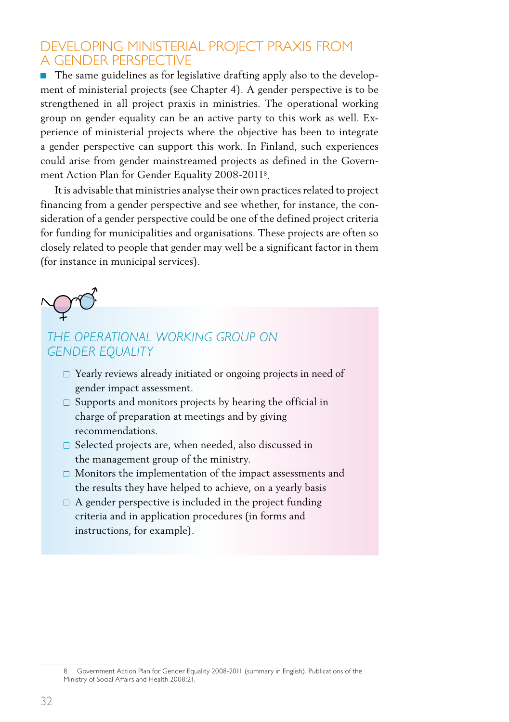### Developing ministerial project praxis from a gender perspective

 $\blacksquare$  The same guidelines as for legislative drafting apply also to the development of ministerial projects (see Chapter 4). A gender perspective is to be strengthened in all project praxis in ministries. The operational working group on gender equality can be an active party to this work as well. Experience of ministerial projects where the objective has been to integrate a gender perspective can support this work. In Finland, such experiences could arise from gender mainstreamed projects as defined in the Government Action Plan for Gender Equality 2008-20118.

It is advisable that ministries analyse their own practices related to project financing from a gender perspective and see whether, for instance, the consideration of a gender perspective could be one of the defined project criteria for funding for municipalities and organisations. These projects are often so closely related to people that gender may well be a significant factor in them (for instance in municipal services).



### *THE OPERATIONAL WORKING GROUP ON GENDER EQUALITY*

- □ Yearly reviews already initiated or ongoing projects in need of gender impact assessment.
- $\square$  Supports and monitors projects by hearing the official in charge of preparation at meetings and by giving recommendations.
- $\square$  Selected projects are, when needed, also discussed in the management group of the ministry.
- $\square$  Monitors the implementation of the impact assessments and the results they have helped to achieve, on a yearly basis
- $\Box$  A gender perspective is included in the project funding criteria and in application procedures (in forms and instructions, for example).

Government Action Plan for Gender Equality 2008-2011 (summary in English). Publications of the Ministry of Social Affairs and Health 2008:21.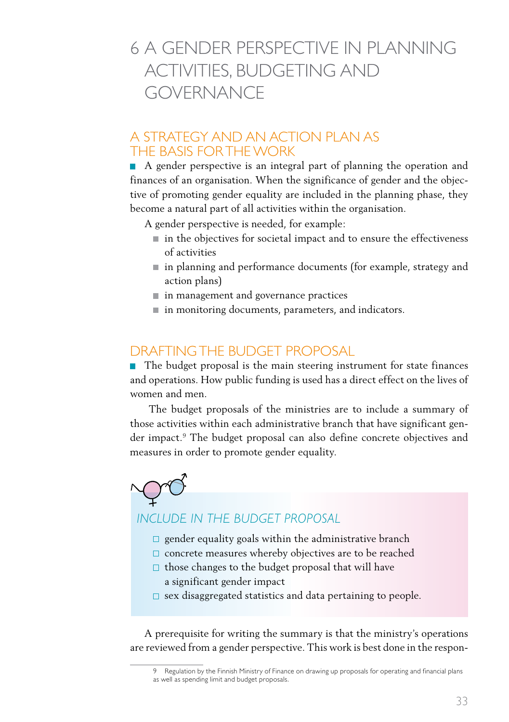# 6 A gender perspective in planning activities, budgeting and **GOVERNANCE**

#### A strategy and an action plan as the basis for the work

A gender perspective is an integral part of planning the operation and finances of an organisation. When the significance of gender and the objective of promoting gender equality are included in the planning phase, they become a natural part of all activities within the organisation.

A gender perspective is needed, for example:

- $\blacksquare$  in the objectives for societal impact and to ensure the effectiveness of activities
- in planning and performance documents (for example, strategy and action plans)
- $\blacksquare$  in management and governance practices
- in monitoring documents, parameters, and indicators.

#### Draftingthe budget proposal

■ The budget proposal is the main steering instrument for state finances and operations. How public funding is used has a direct effect on the lives of women and men.

 The budget proposals of the ministries are to include a summary of those activities within each administrative branch that have significant gender impact.9 The budget proposal can also define concrete objectives and measures in order to promote gender equality.



#### *INCLUDE IN THE BUDGET PROPOSAL*

- $\square$  gender equality goals within the administrative branch
- $\square$  concrete measures whereby objectives are to be reached
- $\Box$  those changes to the budget proposal that will have a significant gender impact
- $\square$  sex disaggregated statistics and data pertaining to people.

A prerequisite for writing the summary is that the ministry's operations are reviewed from a gender perspective. This work is best done in the respon-

<sup>9</sup> Regulation by the Finnish Ministry of Finance on drawing up proposals for operating and financial plans as well as spending limit and budget proposals.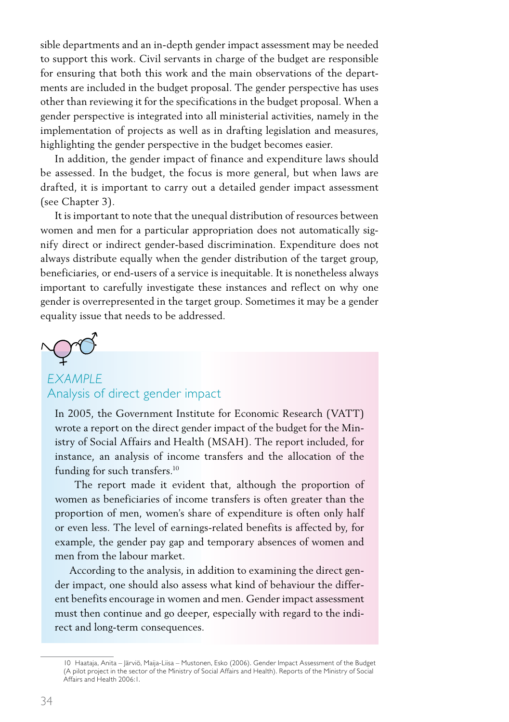sible departments and an in-depth gender impact assessment may be needed to support this work. Civil servants in charge of the budget are responsible for ensuring that both this work and the main observations of the departments are included in the budget proposal. The gender perspective has uses other than reviewing it for the specifications in the budget proposal. When a gender perspective is integrated into all ministerial activities, namely in the implementation of projects as well as in drafting legislation and measures, highlighting the gender perspective in the budget becomes easier.

In addition, the gender impact of finance and expenditure laws should be assessed. In the budget, the focus is more general, but when laws are drafted, it is important to carry out a detailed gender impact assessment (see Chapter 3).

It is important to note that the unequal distribution of resources between women and men for a particular appropriation does not automatically signify direct or indirect gender-based discrimination. Expenditure does not always distribute equally when the gender distribution of the target group, beneficiaries, or end-users of a service is inequitable. It is nonetheless always important to carefully investigate these instances and reflect on why one gender is overrepresented in the target group. Sometimes it may be a gender equality issue that needs to be addressed.

#### *EXAMPLE* Analysis of direct gender impact

In 2005, the Government Institute for Economic Research (VATT) wrote a report on the direct gender impact of the budget for the Ministry of Social Affairs and Health (MSAH). The report included, for instance, an analysis of income transfers and the allocation of the funding for such transfers.<sup>10</sup>

 The report made it evident that, although the proportion of women as beneficiaries of income transfers is often greater than the proportion of men, women's share of expenditure is often only half or even less. The level of earnings-related benefits is affected by, for example, the gender pay gap and temporary absences of women and men from the labour market.

According to the analysis, in addition to examining the direct gender impact, one should also assess what kind of behaviour the different benefits encourage in women and men. Gender impact assessment must then continue and go deeper, especially with regard to the indirect and long-term consequences.

<sup>10</sup> Haataja, Anita – Järviö, Maija-Liisa – Mustonen, Esko (2006). Gender Impact Assessment of the Budget (A pilot project in the sector of the Ministry of Social Affairs and Health). Reports of the Ministry of Social Affairs and Health 2006:1.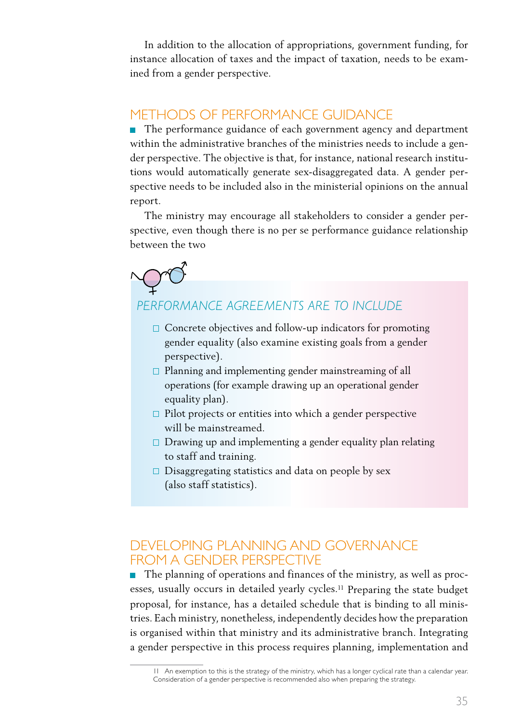In addition to the allocation of appropriations, government funding, for instance allocation of taxes and the impact of taxation, needs to be examined from a gender perspective.

#### Methods of performance guidance

■ The performance guidance of each government agency and department within the administrative branches of the ministries needs to include a gender perspective. The objective is that, for instance, national research institutions would automatically generate sex-disaggregated data. A gender perspective needs to be included also in the ministerial opinions on the annual report.

The ministry may encourage all stakeholders to consider a gender perspective, even though there is no per se performance guidance relationship between the two

### *PERFORMANCE AGREEMENTS ARE TO INCLUDE*

- $\Box$  Concrete objectives and follow-up indicators for promoting gender equality (also examine existing goals from a gender perspective).
- $\square$  Planning and implementing gender mainstreaming of all operations (for example drawing up an operational gender equality plan).
- $\Box$  Pilot projects or entities into which a gender perspective will be mainstreamed.
- $\square$  Drawing up and implementing a gender equality plan relating to staff and training.
- $\square$  Disaggregating statistics and data on people by sex (also staff statistics).

### Developing planning and governance from a gender perspective

■ The planning of operations and finances of the ministry, as well as processes, usually occurs in detailed yearly cycles.11 Preparing the state budget proposal, for instance, has a detailed schedule that is binding to all ministries. Each ministry, nonetheless, independently decides how the preparation is organised within that ministry and its administrative branch. Integrating a gender perspective in this process requires planning, implementation and

<sup>11</sup> An exemption to this is the strategy of the ministry, which has a longer cyclical rate than a calendar year. Consideration of a gender perspective is recommended also when preparing the strategy.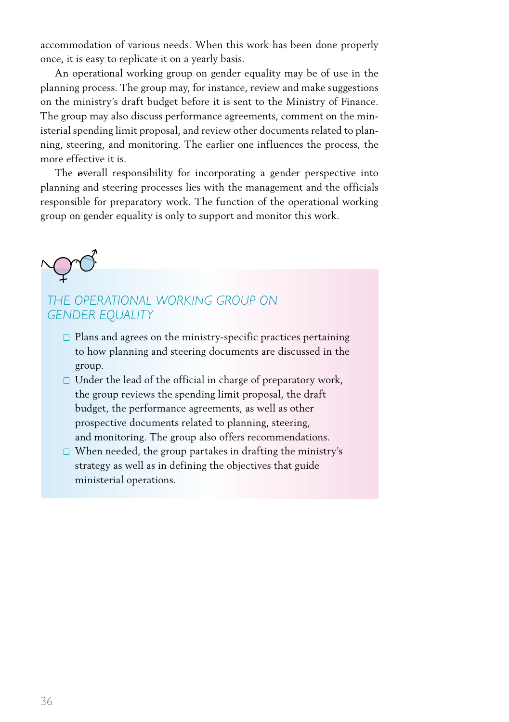accommodation of various needs. When this work has been done properly once, it is easy to replicate it on a yearly basis.

An operational working group on gender equality may be of use in the planning process. The group may, for instance, review and make suggestions on the ministry's draft budget before it is sent to the Ministry of Finance. The group may also discuss performance agreements, comment on the ministerial spending limit proposal, and review other documents related to planning, steering, and monitoring. The earlier one influences the process, the more effective it is.

The overall responsibility for incorporating a gender perspective into planning and steering processes lies with the management and the officials responsible for preparatory work. The function of the operational working group on gender equality is only to support and monitor this work.



#### *THE OPERATIONAL WORKING GROUP ON GENDER EQUALITY*

- $\square$  Plans and agrees on the ministry-specific practices pertaining to how planning and steering documents are discussed in the group.
- $\Box$  Under the lead of the official in charge of preparatory work, the group reviews the spending limit proposal, the draft budget, the performance agreements, as well as other prospective documents related to planning, steering, and monitoring. The group also offers recommendations.
- $\Box$  When needed, the group partakes in drafting the ministry's strategy as well as in defining the objectives that guide ministerial operations.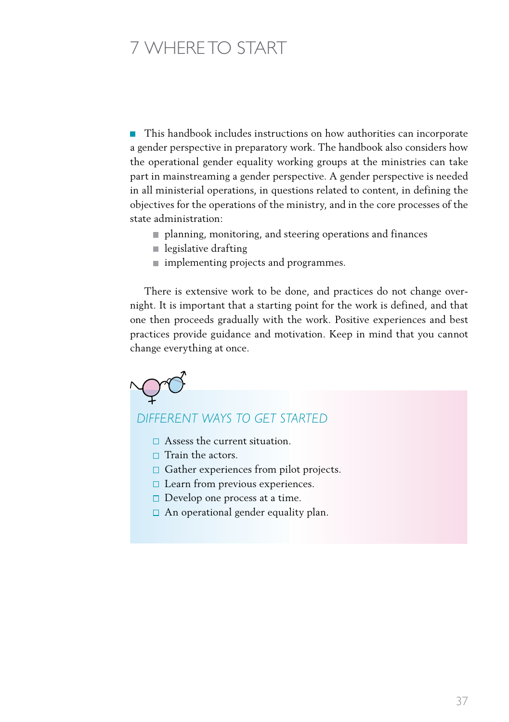# 7 Where to start

 $\mathbb{R}^n$ This handbook includes instructions on how authorities can incorporate a gender perspective in preparatory work. The handbook also considers how the operational gender equality working groups at the ministries can take part in mainstreaming a gender perspective. A gender perspective is needed in all ministerial operations, in questions related to content, in defining the objectives for the operations of the ministry, and in the core processes of the state administration:

- planning, monitoring, and steering operations and finances
- $\blacksquare$  legislative drafting
- **implementing projects and programmes.**

There is extensive work to be done, and practices do not change overnight. It is important that a starting point for the work is defined, and that one then proceeds gradually with the work. Positive experiences and best practices provide guidance and motivation. Keep in mind that you cannot change everything at once.



#### *DIFFERENT WAYS TO GET STARTED*

- $\Box$  Assess the current situation.
- $\Box$  Train the actors.
- $\Box$  Gather experiences from pilot projects.
- $\Box$  Learn from previous experiences.
- $\Box$  Develop one process at a time.
- $\Box$  An operational gender equality plan.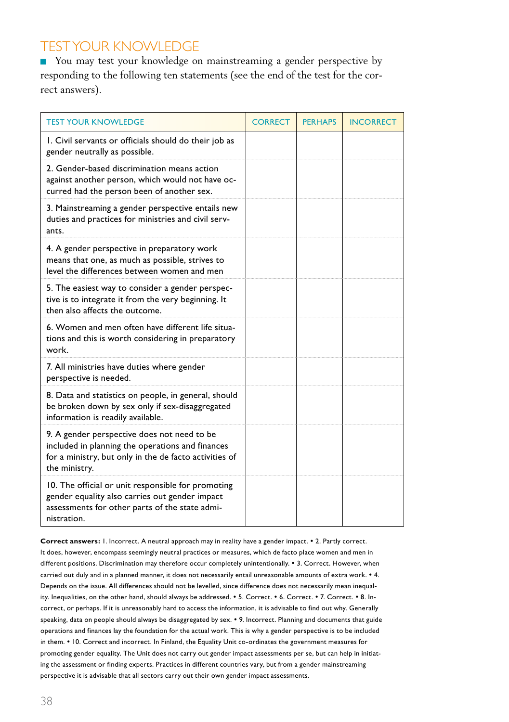## Testyour knowledge

■ You may test your knowledge on mainstreaming a gender perspective by responding to the following ten statements (see the end of the test for the correct answers).

| <b>TEST YOUR KNOWLEDGE</b>                                                                                                                                                 | <b>CORRECT</b> | <b>PERHAPS</b> | <b>INCORRECT</b> |
|----------------------------------------------------------------------------------------------------------------------------------------------------------------------------|----------------|----------------|------------------|
| I. Civil servants or officials should do their job as<br>gender neutrally as possible.                                                                                     |                |                |                  |
| 2. Gender-based discrimination means action<br>against another person, which would not have oc-<br>curred had the person been of another sex.                              |                |                |                  |
| 3. Mainstreaming a gender perspective entails new<br>duties and practices for ministries and civil serv-<br>ants.                                                          |                |                |                  |
| 4. A gender perspective in preparatory work<br>means that one, as much as possible, strives to<br>level the differences between women and men                              |                |                |                  |
| 5. The easiest way to consider a gender perspec-<br>tive is to integrate it from the very beginning. It<br>then also affects the outcome.                                  |                |                |                  |
| 6. Women and men often have different life situa-<br>tions and this is worth considering in preparatory<br>work.                                                           |                |                |                  |
| 7. All ministries have duties where gender<br>perspective is needed.                                                                                                       |                |                |                  |
| 8. Data and statistics on people, in general, should<br>be broken down by sex only if sex-disaggregated<br>information is readily available.                               |                |                |                  |
| 9. A gender perspective does not need to be<br>included in planning the operations and finances<br>for a ministry, but only in the de facto activities of<br>the ministry. |                |                |                  |
| 10. The official or unit responsible for promoting<br>gender equality also carries out gender impact<br>assessments for other parts of the state admi-<br>nistration.      |                |                |                  |

**Correct answers:** 1. Incorrect. A neutral approach may in reality have a gender impact.  $\cdot$  2. Partly correct. It does, however, encompass seemingly neutral practices or measures, which de facto place women and men in different positions. Discrimination may therefore occur completely unintentionally. • 3. Correct. However, when carried out duly and in a planned manner, it does not necessarily entail unreasonable amounts of extra work.  $\cdot$  4. Depends on the issue. All differences should not be levelled, since difference does not necessarily mean inequality. Inequalities, on the other hand, should always be addressed.  $\bullet$  5. Correct.  $\bullet$  6. Correct.  $\bullet$  7. Correct.  $\bullet$  8. Incorrect, or perhaps. If it is unreasonably hard to access the information, it is advisable to find out why. Generally speaking, data on people should always be disaggregated by sex. • 9. Incorrect. Planning and documents that guide operations and finances lay the foundation for the actual work. This is why a gender perspective is to be included in them. • 10. Correct and incorrect. In Finland, the Equality Unit co-ordinates the government measures for promoting gender equality. The Unit does not carry out gender impact assessments per se, but can help in initiating the assessment or finding experts. Practices in different countries vary, but from a gender mainstreaming perspective it is advisable that all sectors carry out their own gender impact assessments.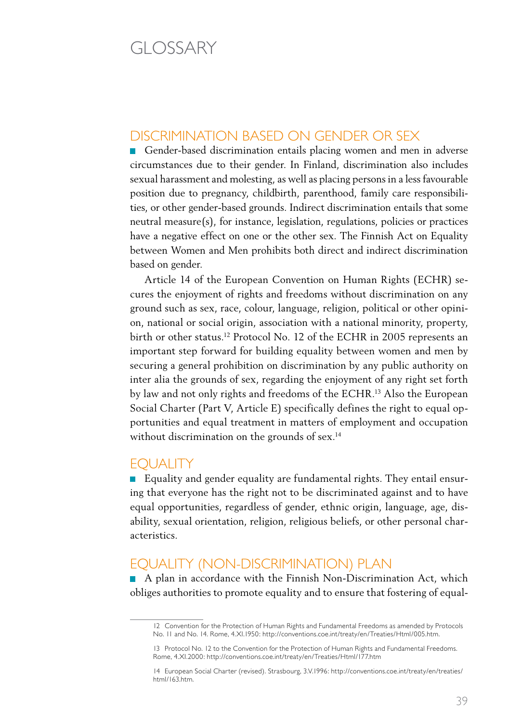# GLOSSARY

#### Discrimination based on gender or sex

Gender-based discrimination entails placing women and men in adverse circumstances due to their gender. In Finland, discrimination also includes sexual harassment and molesting, as well as placing persons in a less favourable position due to pregnancy, childbirth, parenthood, family care responsibilities, or other gender-based grounds. Indirect discrimination entails that some neutral measure(s), for instance, legislation, regulations, policies or practices have a negative effect on one or the other sex. The Finnish Act on Equality between Women and Men prohibits both direct and indirect discrimination based on gender.

Article 14 of the European Convention on Human Rights (ECHR) secures the enjoyment of rights and freedoms without discrimination on any ground such as sex, race, colour, language, religion, political or other opinion, national or social origin, association with a national minority, property, birth or other status.12 Protocol No. 12 of the ECHR in 2005 represents an important step forward for building equality between women and men by securing a general prohibition on discrimination by any public authority on inter alia the grounds of sex, regarding the enjoyment of any right set forth by law and not only rights and freedoms of the ECHR.13 Also the European Social Charter (Part V, Article E) specifically defines the right to equal opportunities and equal treatment in matters of employment and occupation without discrimination on the grounds of sex.<sup>14</sup>

#### Equality

Equality and gender equality are fundamental rights. They entail ensuring that everyone has the right not to be discriminated against and to have equal opportunities, regardless of gender, ethnic origin, language, age, disability, sexual orientation, religion, religious beliefs, or other personal characteristics.

### Equality (non-discrimination) plan

A plan in accordance with the Finnish Non-Discrimination Act, which obliges authorities to promote equality and to ensure that fostering of equal-

<sup>12</sup> Convention for the Protection of Human Rights and Fundamental Freedoms as amended by Protocols No. 11 and No. 14. Rome, 4.XI.1950: http://conventions.coe.int/treaty/en/Treaties/Html/005.htm.

<sup>13</sup> Protocol No. 12 to the Convention for the Protection of Human Rights and Fundamental Freedoms. Rome, 4.XI.2000: http://conventions.coe.int/treaty/en/Treaties/Html/177.htm

<sup>14</sup> European Social Charter (revised). Strasbourg, 3.V.1996: http://conventions.coe.int/treaty/en/treaties/ html/163.htm.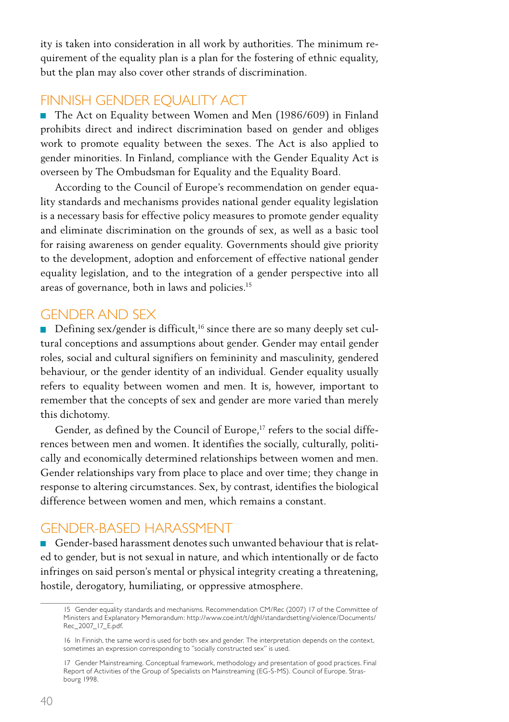ity is taken into consideration in all work by authorities. The minimum requirement of the equality plan is a plan for the fostering of ethnic equality, but the plan may also cover other strands of discrimination.

### FINNISH GENDER EQUALITY ACT

■ The Act on Equality between Women and Men (1986/609) in Finland prohibits direct and indirect discrimination based on gender and obliges work to promote equality between the sexes. The Act is also applied to gender minorities. In Finland, compliance with the Gender Equality Act is overseen by The Ombudsman for Equality and the Equality Board.

According to the Council of Europe's recommendation on gender equality standards and mechanisms provides national gender equality legislation is a necessary basis for effective policy measures to promote gender equality and eliminate discrimination on the grounds of sex, as well as a basic tool for raising awareness on gender equality. Governments should give priority to the development, adoption and enforcement of effective national gender equality legislation, and to the integration of a gender perspective into all areas of governance, both in laws and policies.15

#### Gender and sex

Defining sex/gender is difficult,<sup>16</sup> since there are so many deeply set cultural conceptions and assumptions about gender. Gender may entail gender roles, social and cultural signifiers on femininity and masculinity, gendered behaviour, or the gender identity of an individual. Gender equality usually refers to equality between women and men. It is, however, important to remember that the concepts of sex and gender are more varied than merely this dichotomy.

Gender, as defined by the Council of Europe,<sup>17</sup> refers to the social differences between men and women. It identifies the socially, culturally, politically and economically determined relationships between women and men. Gender relationships vary from place to place and over time; they change in response to altering circumstances. Sex, by contrast, identifies the biological difference between women and men, which remains a constant.

#### Gender-based harassment

Gender-based harassment denotes such unwanted behaviour that is related to gender, but is not sexual in nature, and which intentionally or de facto infringes on said person's mental or physical integrity creating a threatening, hostile, derogatory, humiliating, or oppressive atmosphere.

<sup>15</sup> Gender equality standards and mechanisms. Recommendation CM/Rec (2007) 17 of the Committee of Ministers and Explanatory Memorandum: http://www.coe.int/t/dghl/standardsetting/violence/Documents/ Rec\_2007\_17\_E.pdf.

<sup>16</sup> In Finnish, the same word is used for both sex and gender. The interpretation depends on the context, sometimes an expression corresponding to "socially constructed sex" is used.

<sup>17</sup> Gender Mainstreaming. Conceptual framework, methodology and presentation of good practices. Final Report of Activities of the Group of Specialists on Mainstreaming (EG-S-MS). Council of Europe. Strasbourg 1998.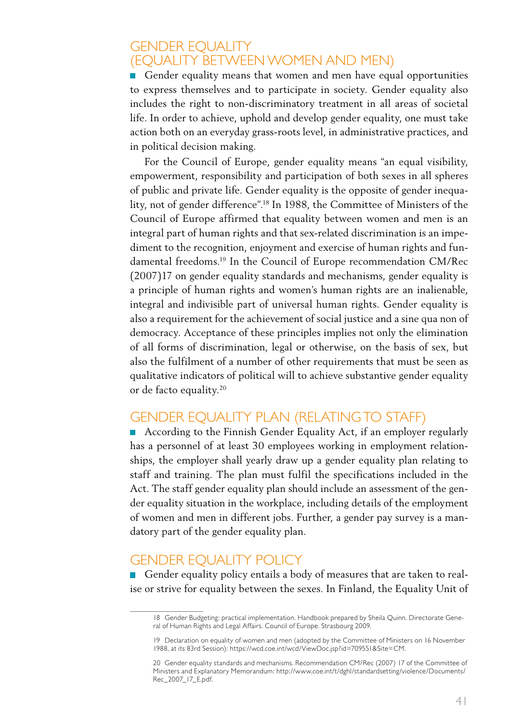### **GENDER EQUALITY** (equality between women and men)

Gender equality means that women and men have equal opportunities to express themselves and to participate in society. Gender equality also includes the right to non-discriminatory treatment in all areas of societal life. In order to achieve, uphold and develop gender equality, one must take action both on an everyday grass-roots level, in administrative practices, and in political decision making.

For the Council of Europe, gender equality means "an equal visibility, empowerment, responsibility and participation of both sexes in all spheres of public and private life. Gender equality is the opposite of gender inequality, not of gender difference".18 In 1988, the Committee of Ministers of the Council of Europe affirmed that equality between women and men is an integral part of human rights and that sex-related discrimination is an impediment to the recognition, enjoyment and exercise of human rights and fundamental freedoms.19 In the Council of Europe recommendation CM/Rec (2007)17 on gender equality standards and mechanisms, gender equality is a principle of human rights and women's human rights are an inalienable, integral and indivisible part of universal human rights. Gender equality is also a requirement for the achievement of social justice and a sine qua non of democracy. Acceptance of these principles implies not only the elimination of all forms of discrimination, legal or otherwise, on the basis of sex, but also the fulfilment of a number of other requirements that must be seen as qualitative indicators of political will to achieve substantive gender equality or de facto equality.20

### Gender equality plan (relatingto staff)

■ According to the Finnish Gender Equality Act, if an employer regularly has a personnel of at least 30 employees working in employment relationships, the employer shall yearly draw up a gender equality plan relating to staff and training. The plan must fulfil the specifications included in the Act. The staff gender equality plan should include an assessment of the gender equality situation in the workplace, including details of the employment of women and men in different jobs. Further, a gender pay survey is a mandatory part of the gender equality plan.

### Gender equality policy

Gender equality policy entails a body of measures that are taken to realise or strive for equality between the sexes. In Finland, the Equality Unit of

<sup>18</sup> Gender Budgeting: practical implementation. Handbook prepared by Sheila Quinn. Directorate General of Human Rights and Legal Affairs. Council of Europe. Strasbourg 2009.

<sup>19</sup> Declaration on equality of women and men (adopted by the Committee of Ministers on 16 November 1988, at its 83rd Session): https://wcd.coe.int/wcd/ViewDoc.jsp?id=709551&Site=CM.

<sup>20</sup> Gender equality standards and mechanisms. Recommendation CM/Rec (2007) 17 of the Committee of Ministers and Explanatory Memorandum: http://www.coe.int/t/dghl/standardsetting/violence/Documents/ Rec\_2007\_17\_E.pdf.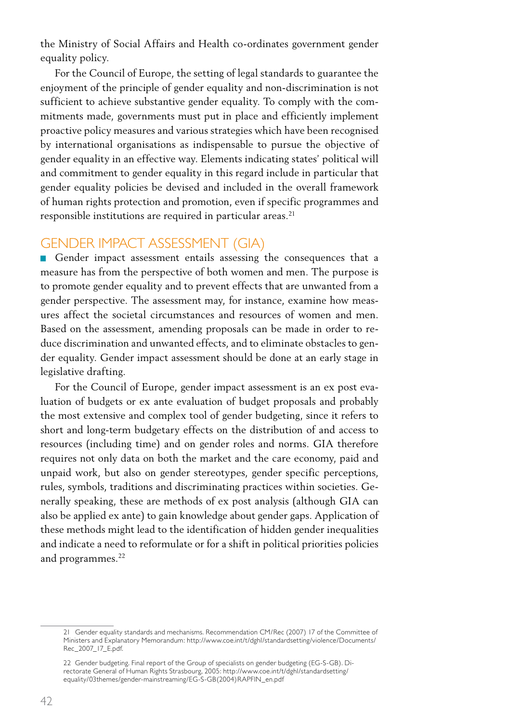the Ministry of Social Affairs and Health co-ordinates government gender equality policy.

For the Council of Europe, the setting of legal standards to guarantee the enjoyment of the principle of gender equality and non-discrimination is not sufficient to achieve substantive gender equality. To comply with the commitments made, governments must put in place and efficiently implement proactive policy measures and various strategies which have been recognised by international organisations as indispensable to pursue the objective of gender equality in an effective way. Elements indicating states' political will and commitment to gender equality in this regard include in particular that gender equality policies be devised and included in the overall framework of human rights protection and promotion, even if specific programmes and responsible institutions are required in particular areas.<sup>21</sup>

#### Gender impact assessment (GIA)

Gender impact assessment entails assessing the consequences that a measure has from the perspective of both women and men. The purpose is to promote gender equality and to prevent effects that are unwanted from a gender perspective. The assessment may, for instance, examine how measures affect the societal circumstances and resources of women and men. Based on the assessment, amending proposals can be made in order to reduce discrimination and unwanted effects, and to eliminate obstacles to gender equality. Gender impact assessment should be done at an early stage in legislative drafting.

For the Council of Europe, gender impact assessment is an ex post evaluation of budgets or ex ante evaluation of budget proposals and probably the most extensive and complex tool of gender budgeting, since it refers to short and long-term budgetary effects on the distribution of and access to resources (including time) and on gender roles and norms. GIA therefore requires not only data on both the market and the care economy, paid and unpaid work, but also on gender stereotypes, gender specific perceptions, rules, symbols, traditions and discriminating practices within societies. Generally speaking, these are methods of ex post analysis (although GIA can also be applied ex ante) to gain knowledge about gender gaps. Application of these methods might lead to the identification of hidden gender inequalities and indicate a need to reformulate or for a shift in political priorities policies and programmes.<sup>22</sup>

<sup>21</sup> Gender equality standards and mechanisms. Recommendation CM/Rec (2007) 17 of the Committee of Ministers and Explanatory Memorandum: http://www.coe.int/t/dghl/standardsetting/violence/Documents/ Rec\_2007\_17\_E.pdf.

<sup>22</sup> Gender budgeting. Final report of the Group of specialists on gender budgeting (EG-S-GB). Directorate General of Human Rights Strasbourg, 2005: http://www.coe.int/t/dghl/standardsetting/ equality/03themes/gender-mainstreaming/EG-S-GB(2004)RAPFIN\_en.pdf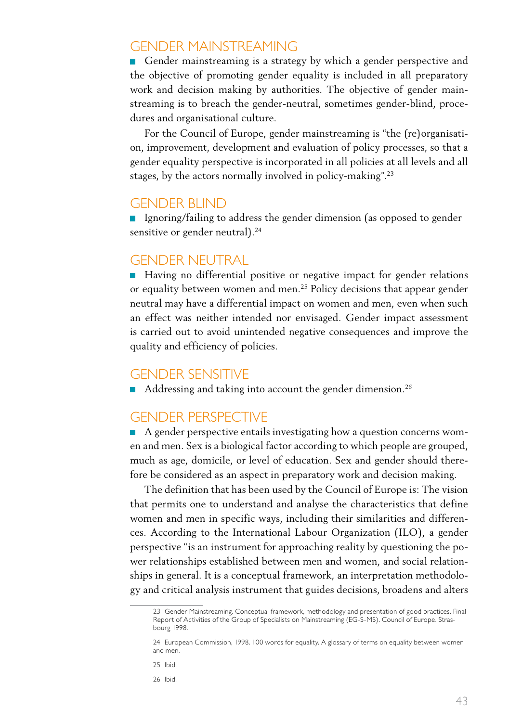#### Gender mainstreaming

Gender mainstreaming is a strategy by which a gender perspective and the objective of promoting gender equality is included in all preparatory work and decision making by authorities. The objective of gender mainstreaming is to breach the gender-neutral, sometimes gender-blind, procedures and organisational culture.

For the Council of Europe, gender mainstreaming is "the (re)organisation, improvement, development and evaluation of policy processes, so that a gender equality perspective is incorporated in all policies at all levels and all stages, by the actors normally involved in policy-making".23

#### Gender blind

If Ignoring/failing to address the gender dimension (as opposed to gender sensitive or gender neutral).<sup>24</sup>

#### Gender neutral

■ Having no differential positive or negative impact for gender relations or equality between women and men.25 Policy decisions that appear gender neutral may have a differential impact on women and men, even when such an effect was neither intended nor envisaged. Gender impact assessment is carried out to avoid unintended negative consequences and improve the quality and efficiency of policies.

#### Gender sensitive

Addressing and taking into account the gender dimension.<sup>26</sup>

#### Gender perspective

A gender perspective entails investigating how a question concerns women and men. Sex is a biological factor according to which people are grouped, much as age, domicile, or level of education. Sex and gender should therefore be considered as an aspect in preparatory work and decision making.

The definition that has been used by the Council of Europe is: The vision that permits one to understand and analyse the characteristics that define women and men in specific ways, including their similarities and differences. According to the International Labour Organization (ILO), a gender perspective "is an instrument for approaching reality by questioning the power relationships established between men and women, and social relationships in general. It is a conceptual framework, an interpretation methodology and critical analysis instrument that guides decisions, broadens and alters

26 Ibid.

<sup>23</sup> Gender Mainstreaming. Conceptual framework, methodology and presentation of good practices. Final Report of Activities of the Group of Specialists on Mainstreaming (EG-S-MS). Council of Europe. Strasbourg 1998.

<sup>24</sup> European Commission, 1998. 100 words for equality. A glossary of terms on equality between women and men.

<sup>25</sup> Ibid.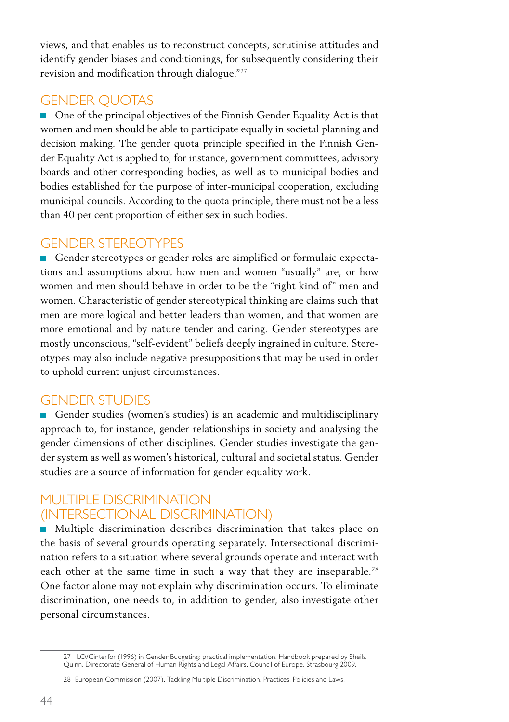views, and that enables us to reconstruct concepts, scrutinise attitudes and identify gender biases and conditionings, for subsequently considering their revision and modification through dialogue."27

### **GENDER QUOTAS**

■ One of the principal objectives of the Finnish Gender Equality Act is that women and men should be able to participate equally in societal planning and decision making. The gender quota principle specified in the Finnish Gender Equality Act is applied to, for instance, government committees, advisory boards and other corresponding bodies, as well as to municipal bodies and bodies established for the purpose of inter-municipal cooperation, excluding municipal councils. According to the quota principle, there must not be a less than 40 per cent proportion of either sex in such bodies.

#### Gender stereotypes

Gender stereotypes or gender roles are simplified or formulaic expectations and assumptions about how men and women "usually" are, or how women and men should behave in order to be the "right kind of" men and women. Characteristic of gender stereotypical thinking are claims such that men are more logical and better leaders than women, and that women are more emotional and by nature tender and caring. Gender stereotypes are mostly unconscious, "self-evident" beliefs deeply ingrained in culture. Stereotypes may also include negative presuppositions that may be used in order to uphold current unjust circumstances.

### Gender studies

Gender studies (women's studies) is an academic and multidisciplinary approach to, for instance, gender relationships in society and analysing the gender dimensions of other disciplines. Gender studies investigate the gender system as well as women's historical, cultural and societal status. Gender studies are a source of information for gender equality work.

#### Multiple discrimination (intersectional discrimination)

**Multiple discrimination describes discrimination that takes place on** the basis of several grounds operating separately. Intersectional discrimination refers to a situation where several grounds operate and interact with each other at the same time in such a way that they are inseparable.<sup>28</sup> One factor alone may not explain why discrimination occurs. To eliminate discrimination, one needs to, in addition to gender, also investigate other personal circumstances.

<sup>27</sup> ILO/Cinterfor (1996) in Gender Budgeting: practical implementation. Handbook prepared by Sheila Quinn. Directorate General of Human Rights and Legal Affairs. Council of Europe. Strasbourg 2009.

<sup>28</sup> European Commission (2007). Tackling Multiple Discrimination. Practices, Policies and Laws.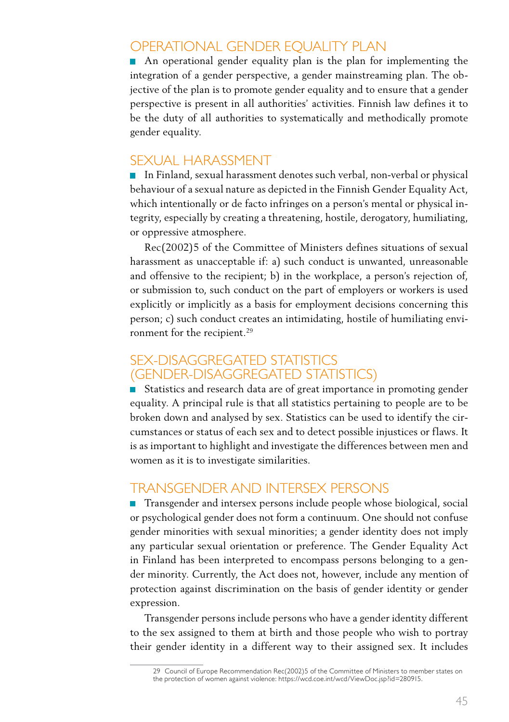### Operational gender equality plan

An operational gender equality plan is the plan for implementing the integration of a gender perspective, a gender mainstreaming plan. The objective of the plan is to promote gender equality and to ensure that a gender perspective is present in all authorities' activities. Finnish law defines it to be the duty of all authorities to systematically and methodically promote gender equality.

#### Sexual harassment

In Finland, sexual harassment denotes such verbal, non-verbal or physical behaviour of a sexual nature as depicted in the Finnish Gender Equality Act, which intentionally or de facto infringes on a person's mental or physical integrity, especially by creating a threatening, hostile, derogatory, humiliating, or oppressive atmosphere.

Rec(2002)5 of the Committee of Ministers defines situations of sexual harassment as unacceptable if: a) such conduct is unwanted, unreasonable and offensive to the recipient; b) in the workplace, a person's rejection of, or submission to, such conduct on the part of employers or workers is used explicitly or implicitly as a basis for employment decisions concerning this person; c) such conduct creates an intimidating, hostile of humiliating environment for the recipient.<sup>29</sup>

#### SEX-DISAGGREGATED STATISTICS (gender-disaggregated statistics)

■ Statistics and research data are of great importance in promoting gender equality. A principal rule is that all statistics pertaining to people are to be broken down and analysed by sex. Statistics can be used to identify the circumstances or status of each sex and to detect possible injustices or flaws. It is as important to highlight and investigate the differences between men and women as it is to investigate similarities.

#### Transgender and intersex persons

■ Transgender and intersex persons include people whose biological, social or psychological gender does not form a continuum. One should not confuse gender minorities with sexual minorities; a gender identity does not imply any particular sexual orientation or preference. The Gender Equality Act in Finland has been interpreted to encompass persons belonging to a gender minority. Currently, the Act does not, however, include any mention of protection against discrimination on the basis of gender identity or gender expression.

Transgender persons include persons who have a gender identity different to the sex assigned to them at birth and those people who wish to portray their gender identity in a different way to their assigned sex. It includes

<sup>29</sup> Council of Europe Recommendation Rec(2002)5 of the Committee of Ministers to member states on the protection of women against violence: https://wcd.coe.int/wcd/ViewDoc.jsp?id=280915.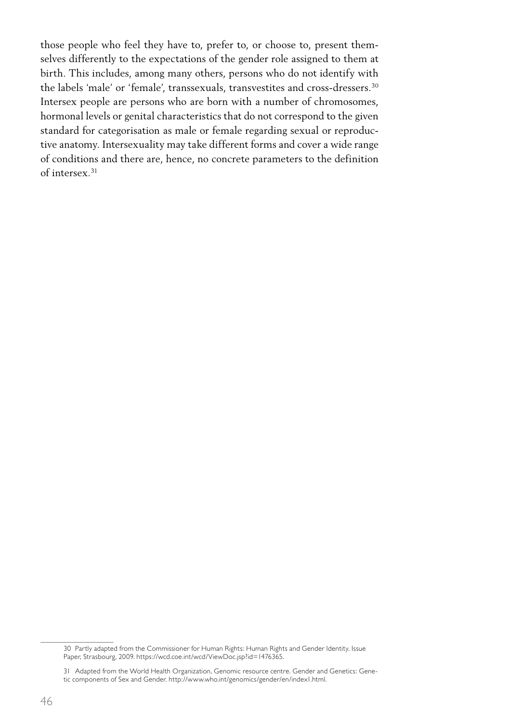those people who feel they have to, prefer to, or choose to, present themselves differently to the expectations of the gender role assigned to them at birth. This includes, among many others, persons who do not identify with the labels 'male' or 'female', transsexuals, transvestites and cross-dressers.<sup>30</sup> Intersex people are persons who are born with a number of chromosomes, hormonal levels or genital characteristics that do not correspond to the given standard for categorisation as male or female regarding sexual or reproductive anatomy. Intersexuality may take different forms and cover a wide range of conditions and there are, hence, no concrete parameters to the definition of intersex.31

<sup>30</sup> Partly adapted from the Commissioner for Human Rights: Human Rights and Gender Identity. Issue Paper, Strasbourg, 2009. https://wcd.coe.int/wcd/ViewDoc.jsp?id=1476365.

<sup>31</sup> Adapted from the World Health Organization, Genomic resource centre. Gender and Genetics: Genetic components of Sex and Gender. http://www.who.int/genomics/gender/en/index1.html.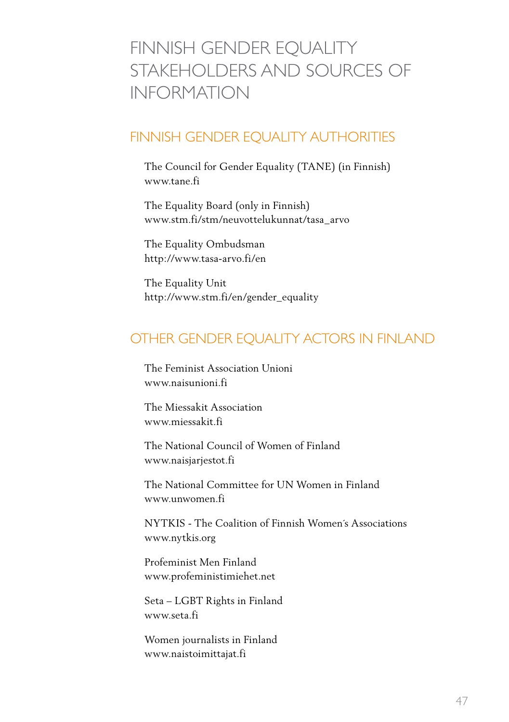# Finnish gender equality STAKEHOLDERS AND SOURCES OF information

### Finnish Gender Equality Authorities

The Council for Gender Equality (TANE) (in Finnish) www.tane.fi

The Equality Board (only in Finnish) www.stm.fi/stm/neuvottelukunnat/tasa\_arvo

The Equality Ombudsman http://www.tasa-arvo.fi/en

The Equality Unit http://www.stm.fi/en/gender\_equality

## Other gender equality actors in Finland

The Feminist Association Unioni www.naisunioni.fi

The Miessakit Association www.miessakit.fi

The National Council of Women of Finland www.naisjarjestot.fi

The National Committee for UN Women in Finland www.unwomen.fi

NYTKIS - The Coalition of Finnish Women´s Associations www.nytkis.org

Profeminist Men Finland www.profeministimiehet.net

Seta – LGBT Rights in Finland www.seta.fi

Women journalists in Finland www.naistoimittajat.fi